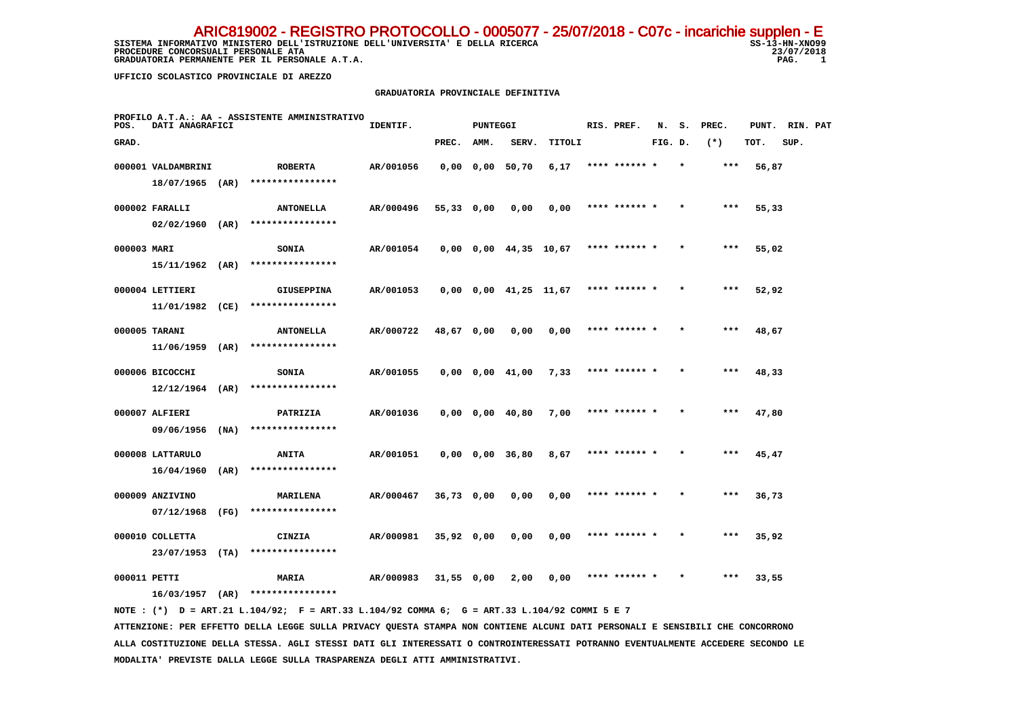SISTEMA INFORMATIVO MINISTERO DELL'ISTRUZIONE DELL'UNIVERSITA' E DELLA RICERCA SS-13-HN-XNO99 **PROCEDURE CONCORSUALI PERSONALE ATA** 23/07, 23/07, 23/07, 23/07, 23/07, 23/07, 23/07, 23/07, 23/07, 2018  **GRADUATORIA PERMANENTE PER IL PERSONALE A.T.A.** ARIC819002 - REGISTRO PROTOCOLLO - 0005077 - 25/07/2018 - C07c - incarichie supplen - E

23/07/2018  $\overline{1}$ 

 **UFFICIO SCOLASTICO PROVINCIALE DI AREZZO**

#### **GRADUATORIA PROVINCIALE DEFINITIVA**

| POS.         | DATI ANAGRAFICI    |      | PROFILO A.T.A.: AA - ASSISTENTE AMMINISTRATIVO                                              | IDENTIF.  |              | <b>PUNTEGGI</b> |                               |        | RIS. PREF.    | N.      | s.      | PREC. | PUNT. | RIN. PAT |  |
|--------------|--------------------|------|---------------------------------------------------------------------------------------------|-----------|--------------|-----------------|-------------------------------|--------|---------------|---------|---------|-------|-------|----------|--|
| GRAD.        |                    |      |                                                                                             |           | PREC.        | AMM.            | SERV.                         | TITOLI |               | FIG. D. |         | $(*)$ | TOT.  | SUP.     |  |
|              | 000001 VALDAMBRINI |      | <b>ROBERTA</b>                                                                              | AR/001056 |              |                 | $0,00$ $0,00$ $50,70$         | 6,17   | **** ****** * |         | $\star$ | ***   | 56,87 |          |  |
|              | 18/07/1965 (AR)    |      | ****************                                                                            |           |              |                 |                               |        |               |         |         |       |       |          |  |
|              | 000002 FARALLI     |      | <b>ANTONELLA</b>                                                                            | AR/000496 | 55,33 0,00   |                 | 0,00                          | 0,00   | **** ****** * |         |         | ***   | 55,33 |          |  |
|              | $02/02/1960$ (AR)  |      | ****************                                                                            |           |              |                 |                               |        |               |         |         |       |       |          |  |
| 000003 MARI  |                    |      | <b>SONIA</b>                                                                                | AR/001054 |              |                 | $0,00$ $0,00$ $44,35$ $10,67$ |        | **** ****** * |         |         | $***$ | 55,02 |          |  |
|              | $15/11/1962$ (AR)  |      | ****************                                                                            |           |              |                 |                               |        |               |         |         |       |       |          |  |
|              | 000004 LETTIERI    |      | <b>GIUSEPPINA</b>                                                                           | AR/001053 |              |                 | $0,00$ $0,00$ $41,25$ $11,67$ |        | **** ****** * |         |         | ***   | 52,92 |          |  |
|              | 11/01/1982 (CE)    |      | ****************                                                                            |           |              |                 |                               |        |               |         |         |       |       |          |  |
|              | 000005 TARANI      |      | <b>ANTONELLA</b>                                                                            | AR/000722 | 48,67 0,00   |                 | 0,00                          | 0,00   | **** ****** * |         |         | ***   | 48,67 |          |  |
|              | $11/06/1959$ (AR)  |      | ****************                                                                            |           |              |                 |                               |        |               |         |         |       |       |          |  |
|              | 000006 BICOCCHI    |      | <b>SONIA</b>                                                                                | AR/001055 |              |                 | $0,00$ $0,00$ $41,00$         | 7,33   | **** ****** * |         |         | $***$ | 48,33 |          |  |
|              | $12/12/1964$ (AR)  |      | ****************                                                                            |           |              |                 |                               |        |               |         |         |       |       |          |  |
|              | 000007 ALFIERI     |      | PATRIZIA                                                                                    | AR/001036 |              |                 | $0,00$ $0,00$ $40,80$         | 7,00   | **** ****** * |         |         | $***$ | 47,80 |          |  |
|              | 09/06/1956         | (NA) | ****************                                                                            |           |              |                 |                               |        |               |         |         |       |       |          |  |
|              | 000008 LATTARULO   |      | <b>ANITA</b>                                                                                | AR/001051 |              |                 | $0,00$ $0,00$ $36,80$         | 8,67   | **** ****** * |         | $\star$ | $***$ | 45,47 |          |  |
|              | 16/04/1960         | (AR) | ****************                                                                            |           |              |                 |                               |        |               |         |         |       |       |          |  |
|              | 000009 ANZIVINO    |      | <b>MARILENA</b>                                                                             | AR/000467 | 36,73 0,00   |                 | 0,00                          | 0,00   | **** ****** * |         |         | $***$ | 36,73 |          |  |
|              | 07/12/1968         | (FG) | ****************                                                                            |           |              |                 |                               |        |               |         |         |       |       |          |  |
|              | 000010 COLLETTA    |      | CINZIA                                                                                      | AR/000981 | $35,92$ 0,00 |                 | 0,00                          | 0,00   | **** ****** * |         |         | $***$ | 35,92 |          |  |
|              | 23/07/1953         | (TA) | ****************                                                                            |           |              |                 |                               |        |               |         |         |       |       |          |  |
| 000011 PETTI |                    |      | <b>MARIA</b>                                                                                | AR/000983 | $31,55$ 0,00 |                 | 2,00                          | 0,00   | **** ****** * |         |         | ***   | 33,55 |          |  |
|              |                    |      | $16/03/1957$ (AR) ****************                                                          |           |              |                 |                               |        |               |         |         |       |       |          |  |
|              |                    |      | NOTE: (*) D = ART.21 L.104/92; F = ART.33 L.104/92 COMMA 6; G = ART.33 L.104/92 COMMI 5 E 7 |           |              |                 |                               |        |               |         |         |       |       |          |  |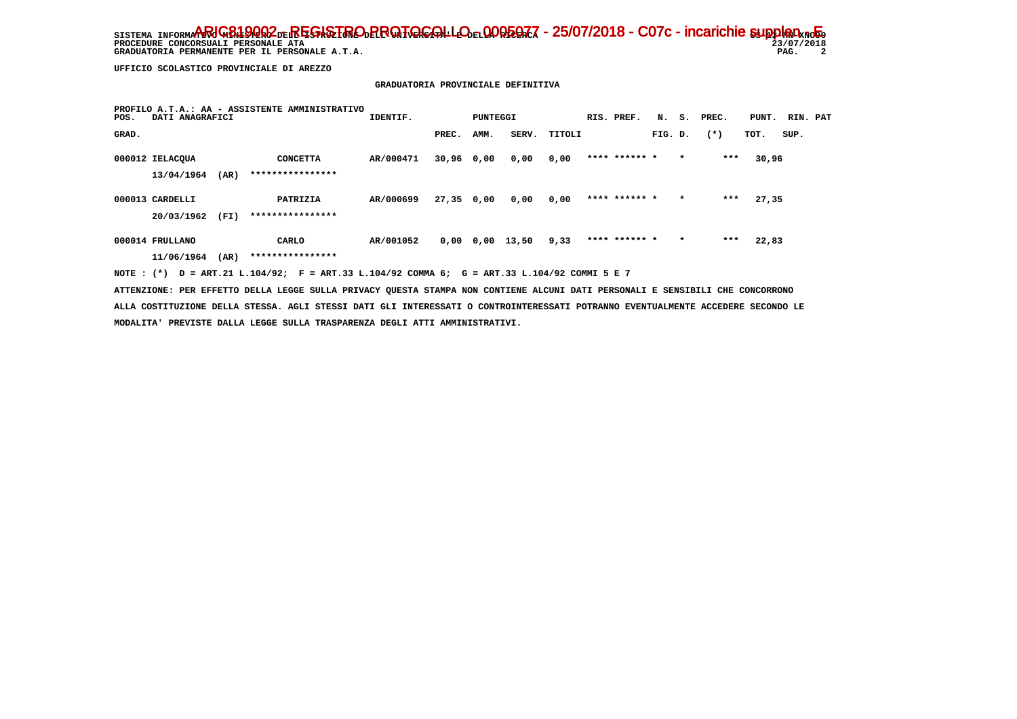**PROCEDURE CONCORSUALI PERSONALE ATA**<br> **PROCEDURE CONCORSUALI PERSONALE ATA** 23/07,<br>
GRADUATORIA PERMANENTE PER IL PERSONALE A.T.A.<br>
PAG.  **GRADUATORIA PERMANENTE PER IL PERSONALE A.T.A.** 

 $23/07/2018$  $\overline{\mathbf{2}}$ 

 **UFFICIO SCOLASTICO PROVINCIALE DI AREZZO**

### **GRADUATORIA PROVINCIALE DEFINITIVA**

| POS.  | DATI ANAGRAFICI |      | PROFILO A.T.A.: AA - ASSISTENTE AMMINISTRATIVO | IDENTIF.  |              | PUNTEGGI |       |        | RIS. PREF.    | N.      | s.      | PREC. | PUNT. | RIN. PAT |  |
|-------|-----------------|------|------------------------------------------------|-----------|--------------|----------|-------|--------|---------------|---------|---------|-------|-------|----------|--|
| GRAD. |                 |      |                                                |           | PREC.        | AMM.     | SERV. | TITOLI |               | FIG. D. |         | $(*)$ | TOT.  | SUP.     |  |
|       | 000012 IELACQUA |      | <b>CONCETTA</b>                                | AR/000471 | 30,96 0,00   |          | 0,00  | 0,00   | **** ****** * |         | $\star$ | ***   | 30,96 |          |  |
|       | 13/04/1964      | (AR) | ****************                               |           |              |          |       |        |               |         |         |       |       |          |  |
|       | 000013 CARDELLI |      | PATRIZIA                                       | AR/000699 | $27,35$ 0,00 |          | 0,00  | 0,00   | **** ****** * |         | $\star$ | $***$ | 27,35 |          |  |
|       | 20/03/1962      | (FI) | ****************                               |           |              |          |       |        |               |         |         |       |       |          |  |
|       | 000014 FRULLANO |      | CARLO                                          | AR/001052 | 0,00         | 0,00     | 13,50 | 9,33   | **** ****** * |         | $\star$ | ***   | 22,83 |          |  |
|       | 11/06/1964      | (AR) | ****************                               |           |              |          |       |        |               |         |         |       |       |          |  |
|       |                 |      |                                                |           |              |          |       |        |               |         |         |       |       |          |  |

 **NOTE : (\*) D = ART.21 L.104/92; F = ART.33 L.104/92 COMMA 6; G = ART.33 L.104/92 COMMI 5 E 7**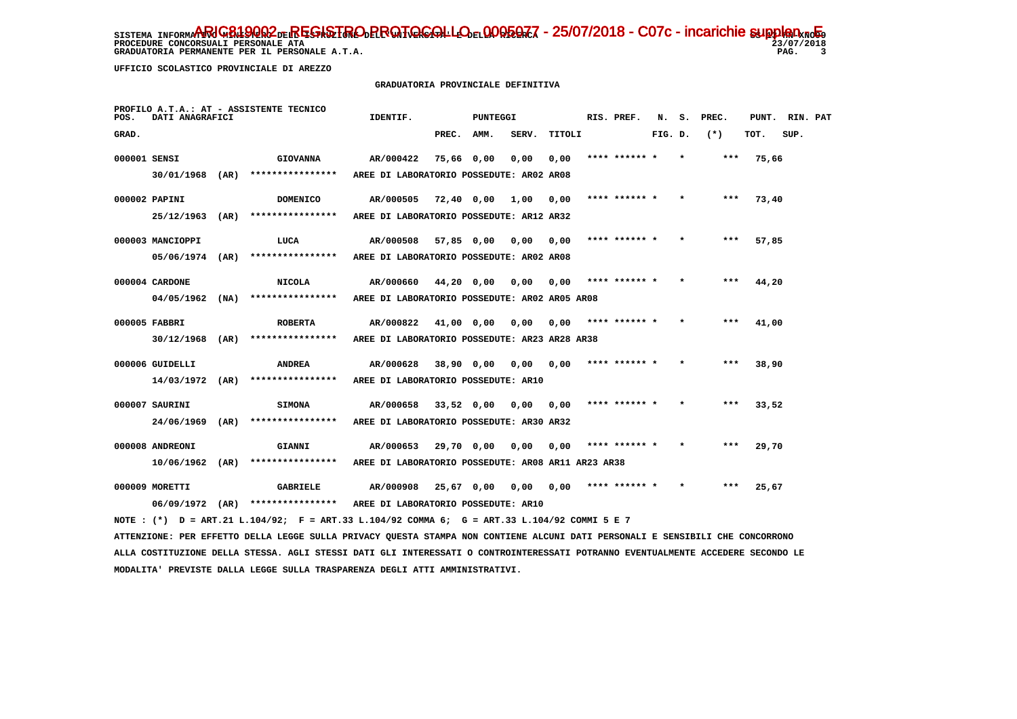**PROCEDURE CONCORSUALI PERSONALE ATA 23/07/2018 GRADUATORIA PERMANENTE PER IL PERSONALE A.T.A. PAG. 3**

j

 **UFFICIO SCOLASTICO PROVINCIALE DI AREZZO**

# **GRADUATORIA PROVINCIALE DEFINITIVA**

| POS.         | DATI ANAGRAFICI   |      | PROFILO A.T.A.: AT - ASSISTENTE TECNICO                                                                                         | IDENTIF.                                           |            | <b>PUNTEGGI</b> |                 |        | RIS. PREF.    | N.      | s. | PREC. | PUNT. | RIN. PAT |  |
|--------------|-------------------|------|---------------------------------------------------------------------------------------------------------------------------------|----------------------------------------------------|------------|-----------------|-----------------|--------|---------------|---------|----|-------|-------|----------|--|
| GRAD.        |                   |      |                                                                                                                                 |                                                    | PREC.      | AMM.            | SERV.           | TITOLI |               | FIG. D. |    | $(*)$ | тот.  | SUP.     |  |
| 000001 SENSI |                   |      | <b>GIOVANNA</b>                                                                                                                 | AR/000422                                          | 75,66 0,00 |                 | 0,00            | 0,00   | **** ****** * |         |    | ***   | 75,66 |          |  |
|              | 30/01/1968 (AR)   |      | ****************                                                                                                                | AREE DI LABORATORIO POSSEDUTE: AR02 AR08           |            |                 |                 |        |               |         |    |       |       |          |  |
|              | 000002 PAPINI     |      | <b>DOMENICO</b>                                                                                                                 | AR/000505                                          | 72,40 0,00 |                 | 1,00            | 0,00   | **** ****** * |         |    | $***$ | 73,40 |          |  |
|              | $25/12/1963$ (AR) |      | ***************                                                                                                                 | AREE DI LABORATORIO POSSEDUTE: AR12 AR32           |            |                 |                 |        |               |         |    |       |       |          |  |
|              | 000003 MANCIOPPI  |      | LUCA                                                                                                                            | AR/000508                                          |            |                 | 0,00            | 0.00   | **** ****** * |         |    | ***   | 57,85 |          |  |
|              | 05/06/1974 (AR)   |      | ****************                                                                                                                | AREE DI LABORATORIO POSSEDUTE: AR02 AR08           | 57,85 0,00 |                 |                 |        |               |         |    |       |       |          |  |
|              |                   |      |                                                                                                                                 |                                                    |            |                 |                 |        |               |         |    |       |       |          |  |
|              | 000004 CARDONE    |      | <b>NICOLA</b>                                                                                                                   | AR/000660                                          | 44,20 0,00 |                 | 0,00            | 0,00   | **** ****** * |         |    | $***$ | 44,20 |          |  |
|              | 04/05/1962        | (NA) | ****************                                                                                                                | AREE DI LABORATORIO POSSEDUTE: AR02 AR05 AR08      |            |                 |                 |        |               |         |    |       |       |          |  |
|              | 000005 FABBRI     |      | <b>ROBERTA</b>                                                                                                                  | AR/000822                                          | 41,00 0,00 |                 | 0,00            | 0,00   | **** ****** * |         |    | $***$ | 41,00 |          |  |
|              | $30/12/1968$ (AR) |      | ****************                                                                                                                | AREE DI LABORATORIO POSSEDUTE: AR23 AR28 AR38      |            |                 |                 |        |               |         |    |       |       |          |  |
|              | 000006 GUIDELLI   |      | <b>ANDREA</b>                                                                                                                   | AR/000628                                          | 38,90 0,00 |                 | 0,00            | 0,00   | **** ****** * |         |    |       | 38,90 |          |  |
|              | 14/03/1972 (AR)   |      | ****************                                                                                                                | AREE DI LABORATORIO POSSEDUTE: AR10                |            |                 |                 |        |               |         |    |       |       |          |  |
|              |                   |      |                                                                                                                                 |                                                    |            |                 |                 |        |               |         |    |       |       |          |  |
|              | 000007 SAURINI    |      | <b>SIMONA</b>                                                                                                                   | AR/000658                                          |            |                 | 33,52 0,00 0,00 | 0,00   | **** ****** * |         |    | $***$ | 33,52 |          |  |
|              | 24/06/1969 (AR)   |      | ****************                                                                                                                | AREE DI LABORATORIO POSSEDUTE: AR30 AR32           |            |                 |                 |        |               |         |    |       |       |          |  |
|              | 000008 ANDREONI   |      | GIANNI                                                                                                                          | AR/000653                                          | 29,70 0,00 |                 | 0.00            | 0.00   | **** ****** * |         |    | ***   | 29,70 |          |  |
|              | $10/06/1962$ (AR) |      | ***************                                                                                                                 | AREE DI LABORATORIO POSSEDUTE: AR08 AR11 AR23 AR38 |            |                 |                 |        |               |         |    |       |       |          |  |
|              | 000009 MORETTI    |      | <b>GABRIELE</b>                                                                                                                 | AR/000908                                          |            |                 | 25,67 0,00 0,00 | 0,00   | **** ****** * |         |    | ***   | 25,67 |          |  |
|              |                   |      | 06/09/1972 (AR) **************** AREE DI LABORATORIO POSSEDUTE: AR10                                                            |                                                    |            |                 |                 |        |               |         |    |       |       |          |  |
|              |                   |      | NOTE : (*) D = ART.21 L.104/92; F = ART.33 L.104/92 COMMA 6; G = ART.33 L.104/92 COMMI 5 E 7                                    |                                                    |            |                 |                 |        |               |         |    |       |       |          |  |
|              |                   |      | ATTENZIONE: PER EFFETTO DELLA LEGGE SULLA PRIVACY QUESTA STAMPA NON CONTIENE ALCUNI DATI PERSONALI E SENSIBILI CHE CONCORRONO   |                                                    |            |                 |                 |        |               |         |    |       |       |          |  |
|              |                   |      | ALLA COSTITUZIONE DELLA STESSA. AGLI STESSI DATI GLI INTERESSATI O CONTROINTERESSATI POTRANNO EVENTUALMENTE ACCEDERE SECONDO LE |                                                    |            |                 |                 |        |               |         |    |       |       |          |  |
|              |                   |      |                                                                                                                                 |                                                    |            |                 |                 |        |               |         |    |       |       |          |  |

 **MODALITA' PREVISTE DALLA LEGGE SULLA TRASPARENZA DEGLI ATTI AMMINISTRATIVI.**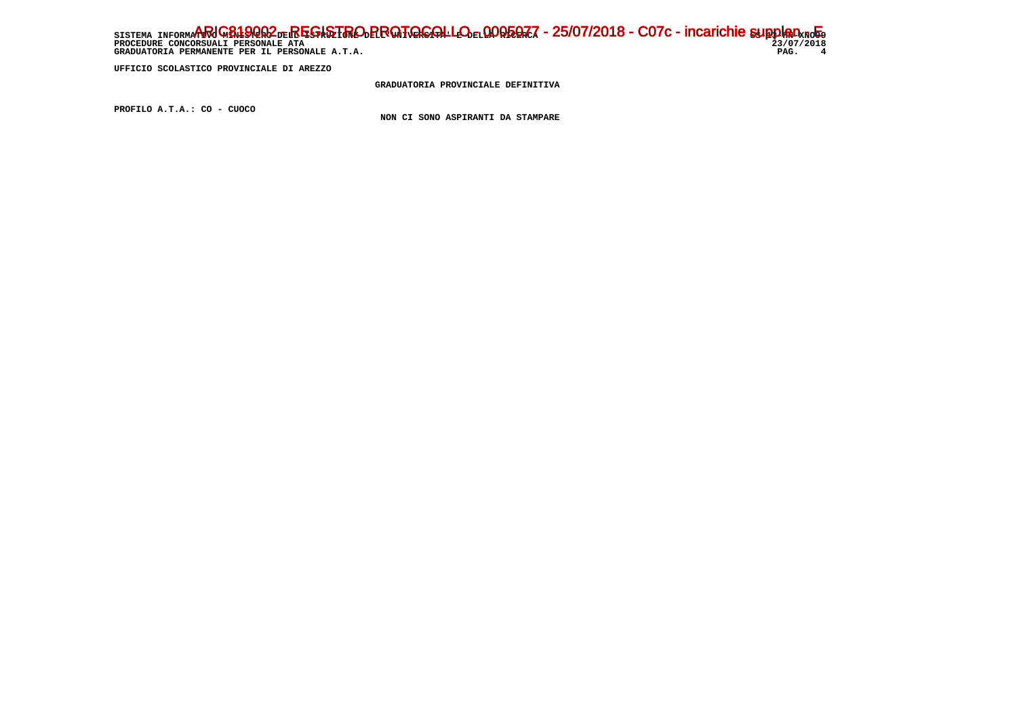# SISTEMA INFORMARIC<del>819QQ2 de.REGISTRO PROTOCOLLO el QOQ5QZ</del>Z - 25/07/2018 - C07c - incarichie supplen - Eq ֖֧֢ׅ֧֧֧֧֧֚֚֚֚֚֚֚֚֚֚֚֚֚֚֚֚֚֚֚֚֚֚֚֚֡֝֝֓֓֡֞֝֬֝֓֝֓֝֬֝֓֞֝֬֝֓֝֬֝֬  **PROCEDURE CONCORSUALI PERSONALE ATA 23/07/2018 GRADUATORIA PERMANENTE PER IL PERSONALE A.T.A. PAG. 4**

 **UFFICIO SCOLASTICO PROVINCIALE DI AREZZO**

 **GRADUATORIA PROVINCIALE DEFINITIVA**

 **PROFILO A.T.A.: CO - CUOCO**

 **NON CI SONO ASPIRANTI DA STAMPARE**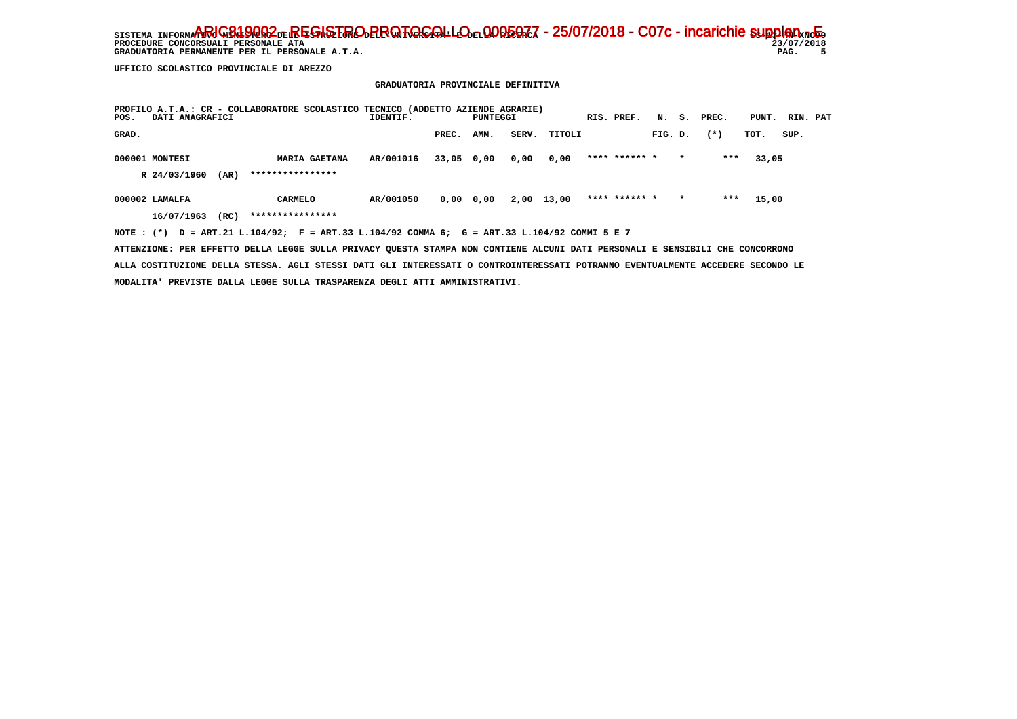**PROCEDURE CONCORSUALI PERSONALE ATA**<br> **PROCEDURE CONCORSUALI PERSONALE ATA** 23/07/<br>
GRADUATORIA PERMANENTE PER IL PERSONALE A.T.A.<br>
PAG. GRADUATORIA PERMANENTE PER IL PERSONALE A.T.A.

 $23/07/2018$  $\overline{\phantom{0}}$ 

 **UFFICIO SCOLASTICO PROVINCIALE DI AREZZO**

# **GRADUATORIA PROVINCIALE DEFINITIVA**

| PROFILO A.T.A.: CR - COLLABORATORE SCOLASTICO TECNICO (ADDETTO AZIENDE AGRARIE)<br>DATI ANAGRAFICI<br>POS. |                      | IDENTIF.  |             | PUNTEGGI |       |        | RIS. PREF.    |         |         | N. S. PREC. | PUNT. | RIN. PAT |  |
|------------------------------------------------------------------------------------------------------------|----------------------|-----------|-------------|----------|-------|--------|---------------|---------|---------|-------------|-------|----------|--|
| GRAD.                                                                                                      |                      |           | PREC.       | AMM.     | SERV. | TITOLI |               | FIG. D. |         | $(*)$       | TOT.  | SUP.     |  |
| 000001 MONTESI                                                                                             | <b>MARIA GAETANA</b> | AR/001016 | 33,05 0,00  |          | 0,00  | 0,00   | **** ****** * |         | $\star$ | ***         | 33,05 |          |  |
| R 24/03/1960<br>(AR)                                                                                       | ****************     |           |             |          |       |        |               |         |         |             |       |          |  |
| 000002 LAMALFA                                                                                             | <b>CARMELO</b>       | AR/001050 | $0,00$ 0,00 |          | 2,00  | 13,00  | **** ****** * |         | $\star$ | ***         | 15,00 |          |  |
| 16/07/1963<br>(RC)                                                                                         | ****************     |           |             |          |       |        |               |         |         |             |       |          |  |
| NOTE: (*) D = ART.21 L.104/92; F = ART.33 L.104/92 COMMA 6; G = ART.33 L.104/92 COMMI 5 E 7                |                      |           |             |          |       |        |               |         |         |             |       |          |  |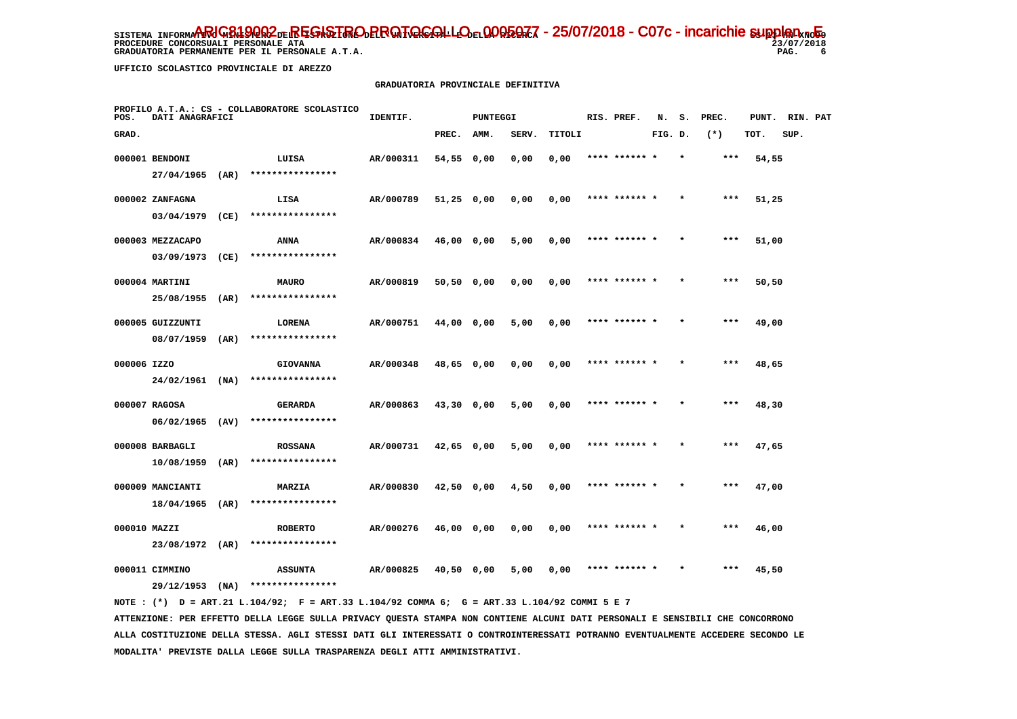**PROCEDURE CONCORSUALI PERSONALE ATA**<br> **PROCEDURE CONCORSUALI PERSONALE ATA** 23/07,<br>
GRADUATORIA PERMANENTE PER IL PERSONALE A.T.A.<br>
PAG.

 **GRADUATORIA PERMANENTE PER IL PERSONALE A.T.A.** 

 $23/07/2018$ 6

 **UFFICIO SCOLASTICO PROVINCIALE DI AREZZO**

#### **GRADUATORIA PROVINCIALE DEFINITIVA**

| POS.         | DATI ANAGRAFICI   |      | PROFILO A.T.A.: CS - COLLABORATORE SCOLASTICO | IDENTIF.  |              | PUNTEGGI |       |        | RIS. PREF.    | N.      |         | S. PREC. |       | PUNT. RIN. PAT |  |
|--------------|-------------------|------|-----------------------------------------------|-----------|--------------|----------|-------|--------|---------------|---------|---------|----------|-------|----------------|--|
| GRAD.        |                   |      |                                               |           | PREC.        | AMM.     | SERV. | TITOLI |               | FIG. D. |         | $(*)$    | TOT.  | SUP.           |  |
|              | 000001 BENDONI    |      | LUISA                                         | AR/000311 | 54,55 0,00   |          | 0,00  | 0,00   | **** ******   |         |         | $***$    | 54,55 |                |  |
|              | $27/04/1965$ (AR) |      | ****************                              |           |              |          |       |        |               |         |         |          |       |                |  |
|              | 000002 ZANFAGNA   |      | LISA                                          | AR/000789 | $51,25$ 0,00 |          | 0,00  | 0,00   | **** ****** * |         |         | $***$    | 51,25 |                |  |
|              | 03/04/1979        | (CE) | ****************                              |           |              |          |       |        |               |         |         |          |       |                |  |
|              | 000003 MEZZACAPO  |      | ANNA                                          | AR/000834 | 46,00 0,00   |          | 5,00  | 0,00   | **** ****** * |         | $\star$ | $***$    | 51,00 |                |  |
|              | 03/09/1973        | (CE) | ****************                              |           |              |          |       |        |               |         |         |          |       |                |  |
|              | 000004 MARTINI    |      | <b>MAURO</b>                                  | AR/000819 | 50,50 0,00   |          | 0,00  | 0,00   | **** ****** * |         |         | $***$    | 50,50 |                |  |
|              | 25/08/1955        | (AR) | ****************                              |           |              |          |       |        |               |         |         |          |       |                |  |
|              | 000005 GUIZZUNTI  |      | <b>LORENA</b>                                 | AR/000751 | 44,00 0,00   |          | 5,00  | 0,00   | **** ****** * |         | $\star$ | $***$    | 49,00 |                |  |
|              | 08/07/1959        | (AR) | ****************                              |           |              |          |       |        |               |         |         |          |       |                |  |
| 000006 IZZO  |                   |      | <b>GIOVANNA</b>                               | AR/000348 | 48,65 0,00   |          | 0,00  | 0,00   | **** ****** * |         | $\star$ | ***      | 48,65 |                |  |
|              | $24/02/1961$ (NA) |      | ****************                              |           |              |          |       |        |               |         |         |          |       |                |  |
|              | 000007 RAGOSA     |      | GERARDA                                       | AR/000863 | 43,30 0,00   |          | 5,00  | 0,00   |               |         |         | ***      | 48,30 |                |  |
|              | $06/02/1965$ (AV) |      | ****************                              |           |              |          |       |        |               |         |         |          |       |                |  |
|              | 000008 BARBAGLI   |      | <b>ROSSANA</b>                                | AR/000731 | $42,65$ 0,00 |          | 5,00  | 0,00   | **** ****** * |         |         | $***$    | 47,65 |                |  |
|              | 10/08/1959        | (AR) | ****************                              |           |              |          |       |        |               |         |         |          |       |                |  |
|              | 000009 MANCIANTI  |      | <b>MARZIA</b>                                 | AR/000830 | $42,50$ 0,00 |          | 4,50  | 0,00   | **** ****** * |         | $\star$ | $***$    | 47,00 |                |  |
|              | 18/04/1965        | (AR) | ****************                              |           |              |          |       |        |               |         |         |          |       |                |  |
| 000010 MAZZI |                   |      | <b>ROBERTO</b>                                | AR/000276 | 46,00 0,00   |          | 0,00  | 0,00   | **** ****** * |         |         | $***$    | 46,00 |                |  |
|              | 23/08/1972 (AR)   |      | ****************                              |           |              |          |       |        |               |         |         |          |       |                |  |
|              | 000011 CIMMINO    |      | <b>ASSUNTA</b>                                | AR/000825 | 40,50 0,00   |          | 5,00  | 0,00   | **** ****** * |         |         | ***      | 45,50 |                |  |
|              | 29/12/1953        | (NA) | ****************                              |           |              |          |       |        |               |         |         |          |       |                |  |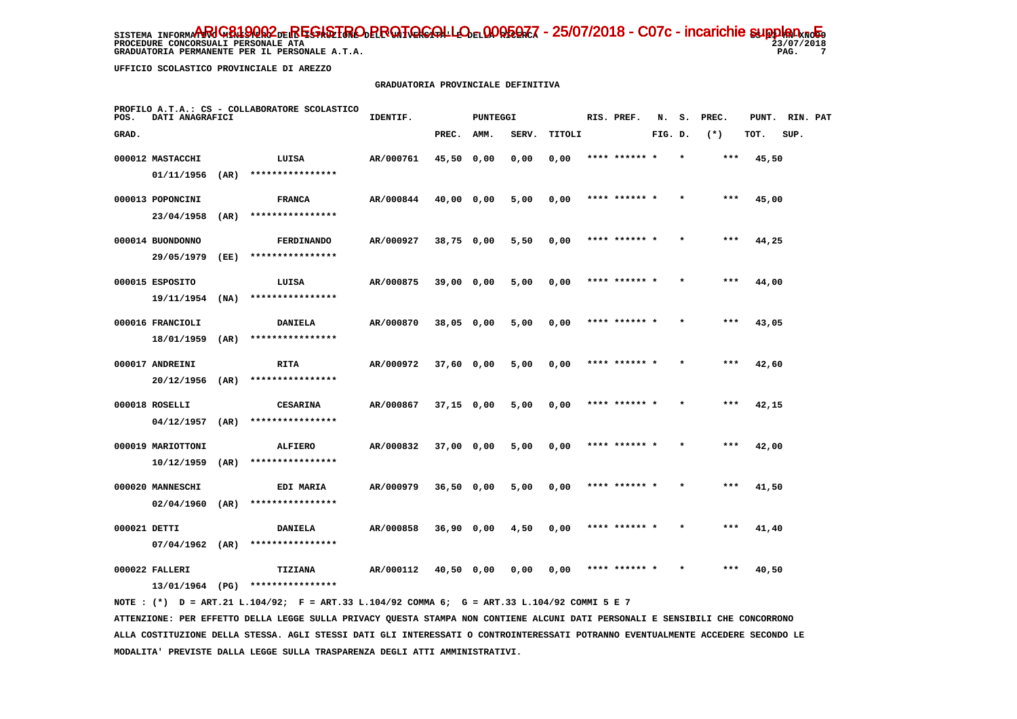**PROCEDURE CONCORSUALI PERSONALE ATA**<br> **PROCEDURE CONCORSUALI PERSONALE ATA** 23/07,<br>
GRADUATORIA PERMANENTE PER IL PERSONALE A.T.A.<br>
PAG.

 **GRADUATORIA PERMANENTE PER IL PERSONALE A.T.A.** 

 **UFFICIO SCOLASTICO PROVINCIALE DI AREZZO**

#### **GRADUATORIA PROVINCIALE DEFINITIVA**

| POS.         | DATI ANAGRAFICI   |      | PROFILO A.T.A.: CS - COLLABORATORE SCOLASTICO | IDENTIF.  |              | PUNTEGGI |       |        | RIS. PREF.    | N.      |         | S. PREC. |       | PUNT. RIN. PAT |  |
|--------------|-------------------|------|-----------------------------------------------|-----------|--------------|----------|-------|--------|---------------|---------|---------|----------|-------|----------------|--|
| GRAD.        |                   |      |                                               |           | PREC.        | AMM.     | SERV. | TITOLI |               | FIG. D. |         | $(*)$    | TOT.  | SUP.           |  |
|              | 000012 MASTACCHI  |      | LUISA                                         | AR/000761 | 45,50 0,00   |          | 0,00  | 0,00   |               |         |         | ***      | 45,50 |                |  |
|              | 01/11/1956        | (AR) | ****************                              |           |              |          |       |        |               |         |         |          |       |                |  |
|              | 000013 POPONCINI  |      | <b>FRANCA</b>                                 | AR/000844 | 40,00 0,00   |          | 5,00  | 0,00   | **** ****** * |         |         | $***$    | 45,00 |                |  |
|              | 23/04/1958        | (AR) | ****************                              |           |              |          |       |        |               |         |         |          |       |                |  |
|              | 000014 BUONDONNO  |      | <b>FERDINANDO</b>                             | AR/000927 | 38,75 0,00   |          | 5,50  | 0,00   | **** ****** * |         | $\star$ | $***$    | 44,25 |                |  |
|              | 29/05/1979        | (EE) | ****************                              |           |              |          |       |        |               |         |         |          |       |                |  |
|              | 000015 ESPOSITO   |      | LUISA                                         | AR/000875 | 39,00 0,00   |          | 5,00  | 0,00   | **** ****** * |         |         | $***$    | 44,00 |                |  |
|              | 19/11/1954        | (NA) | ****************                              |           |              |          |       |        |               |         |         |          |       |                |  |
|              | 000016 FRANCIOLI  |      | <b>DANIELA</b>                                | AR/000870 | 38,05 0,00   |          | 5,00  | 0,00   | **** ****** * |         |         | $***$    | 43,05 |                |  |
|              | 18/01/1959        | (AR) | ****************                              |           |              |          |       |        |               |         |         |          |       |                |  |
|              | 000017 ANDREINI   |      | RITA                                          | AR/000972 | 37,60 0,00   |          | 5,00  | 0,00   | **** ****** * |         |         | ***      | 42,60 |                |  |
|              | 20/12/1956        | (AR) | ****************                              |           |              |          |       |        |               |         |         |          |       |                |  |
|              | 000018 ROSELLI    |      | <b>CESARINA</b>                               | AR/000867 | $37,15$ 0,00 |          | 5,00  | 0,00   | **** ****** * |         |         | $***$    | 42,15 |                |  |
|              | 04/12/1957        | (AR) | ****************                              |           |              |          |       |        |               |         |         |          |       |                |  |
|              | 000019 MARIOTTONI |      | <b>ALFIERO</b>                                | AR/000832 | 37,00 0,00   |          | 5,00  | 0,00   | **** ****** * |         |         | ***      | 42,00 |                |  |
|              | 10/12/1959        | (AR) | ****************                              |           |              |          |       |        |               |         |         |          |       |                |  |
|              | 000020 MANNESCHI  |      | EDI MARIA                                     | AR/000979 | $36,50$ 0,00 |          | 5,00  | 0,00   | **** ****** * |         | $\star$ | ***      | 41,50 |                |  |
|              | 02/04/1960        | (AR) | ****************                              |           |              |          |       |        |               |         |         |          |       |                |  |
| 000021 DETTI |                   |      | <b>DANIELA</b>                                | AR/000858 | 36,90 0,00   |          | 4,50  | 0,00   | **** ****** * |         |         | $***$    | 41,40 |                |  |
|              | $07/04/1962$ (AR) |      | ****************                              |           |              |          |       |        |               |         |         |          |       |                |  |
|              | 000022 FALLERI    |      | <b>TIZIANA</b>                                | AR/000112 | 40,50 0,00   |          | 0,00  | 0,00   | **** ****** * |         |         | ***      | 40,50 |                |  |
|              | 13/01/1964 (PG)   |      | ****************                              |           |              |          |       |        |               |         |         |          |       |                |  |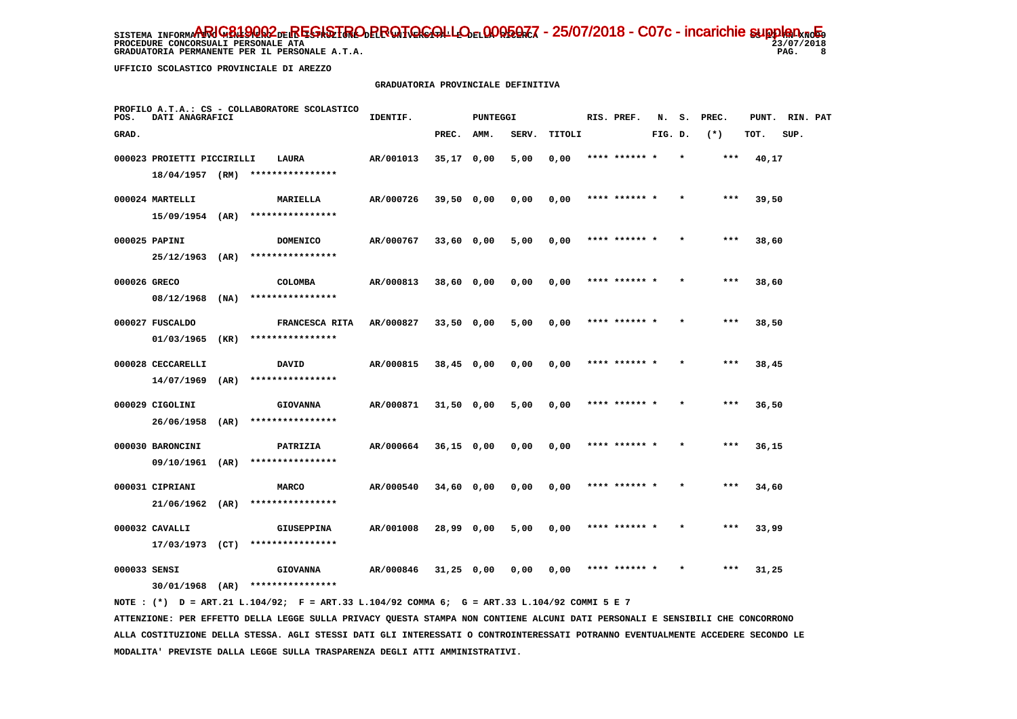**PROCEDURE CONCORSUALI PERSONALE ATA**<br> **PROCEDURE CONCORSUALI PERSONALE ATA** 23/07,<br>
GRADUATORIA PERMANENTE PER IL PERSONALE A.T.A.<br>
PAG.

 **GRADUATORIA PERMANENTE PER IL PERSONALE A.T.A.** 

 $23/07/2018$ 8

 **UFFICIO SCOLASTICO PROVINCIALE DI AREZZO**

#### **GRADUATORIA PROVINCIALE DEFINITIVA**

| POS.         | DATI ANAGRAFICI                               |      | PROFILO A.T.A.: CS - COLLABORATORE SCOLASTICO | IDENTIF.  |              | PUNTEGGI |       |        | RIS. PREF.    | N.      |         | S. PREC. |       | PUNT. RIN. PAT |  |
|--------------|-----------------------------------------------|------|-----------------------------------------------|-----------|--------------|----------|-------|--------|---------------|---------|---------|----------|-------|----------------|--|
| GRAD.        |                                               |      |                                               |           | PREC.        | AMM.     | SERV. | TITOLI |               | FIG. D. |         | $(*)$    | TOT.  | SUP.           |  |
|              | 000023 PROIETTI PICCIRILLI<br>18/04/1957 (RM) |      | LAURA<br>****************                     | AR/001013 | $35,17$ 0,00 |          | 5,00  | 0,00   |               |         |         | ***      | 40,17 |                |  |
|              | 000024 MARTELLI                               |      | MARIELLA                                      | AR/000726 | 39,50 0,00   |          | 0,00  | 0,00   | **** ****** * |         |         | $***$    | 39,50 |                |  |
|              | $15/09/1954$ (AR)                             |      | ****************                              |           |              |          |       |        |               |         |         |          |       |                |  |
|              | 000025 PAPINI                                 |      | <b>DOMENICO</b>                               | AR/000767 | 33,60 0,00   |          | 5,00  | 0,00   | **** ****** * |         | $\star$ | $***$    | 38,60 |                |  |
|              | 25/12/1963                                    | (AR) | ****************                              |           |              |          |       |        |               |         |         |          |       |                |  |
| 000026 GRECO |                                               |      | <b>COLOMBA</b>                                | AR/000813 | 38,60 0,00   |          | 0,00  | 0,00   | **** ****** * |         |         | $***$    | 38,60 |                |  |
|              | 08/12/1968                                    | (NA) | ****************                              |           |              |          |       |        |               |         |         |          |       |                |  |
|              | 000027 FUSCALDO                               |      | FRANCESCA RITA                                | AR/000827 | $33,50$ 0,00 |          | 5,00  | 0,00   | **** ****** * |         |         | $***$    | 38,50 |                |  |
|              | 01/03/1965                                    | (KR) | ****************                              |           |              |          |       |        |               |         |         |          |       |                |  |
|              | 000028 CECCARELLI                             |      | <b>DAVID</b><br>****************              | AR/000815 | $38,45$ 0,00 |          | 0,00  | 0,00   | **** ****** * |         | $\star$ | $***$    | 38,45 |                |  |
|              | 14/07/1969                                    | (AR) |                                               |           |              |          |       |        |               |         |         |          |       |                |  |
|              | 000029 CIGOLINI<br>26/06/1958                 | (AR) | <b>GIOVANNA</b><br>****************           | AR/000871 | $31,50$ 0,00 |          | 5,00  | 0,00   | **** ******   |         |         | $***$    | 36,50 |                |  |
|              |                                               |      |                                               |           |              |          |       |        | **** ****** * |         |         | $***$    |       |                |  |
|              | 000030 BARONCINI<br>09/10/1961                | (AR) | PATRIZIA<br>****************                  | AR/000664 | $36,15$ 0,00 |          | 0,00  | 0,00   |               |         |         |          | 36,15 |                |  |
|              | 000031 CIPRIANI                               |      | <b>MARCO</b>                                  | AR/000540 | 34,60 0,00   |          | 0,00  | 0,00   | **** ****** * |         |         | $***$    | 34,60 |                |  |
|              | 21/06/1962                                    | (AR) | ****************                              |           |              |          |       |        |               |         |         |          |       |                |  |
|              | 000032 CAVALLI                                |      | <b>GIUSEPPINA</b>                             | AR/001008 | 28,99 0,00   |          | 5,00  | 0,00   | **** ****** * |         |         | $***$    | 33,99 |                |  |
|              | 17/03/1973 (CT)                               |      | ****************                              |           |              |          |       |        |               |         |         |          |       |                |  |
| 000033 SENSI |                                               |      | <b>GIOVANNA</b>                               | AR/000846 | $31,25$ 0,00 |          | 0,00  | 0,00   |               |         |         | ***      | 31,25 |                |  |
|              | 30/01/1968                                    | (AR) | ****************                              |           |              |          |       |        |               |         |         |          |       |                |  |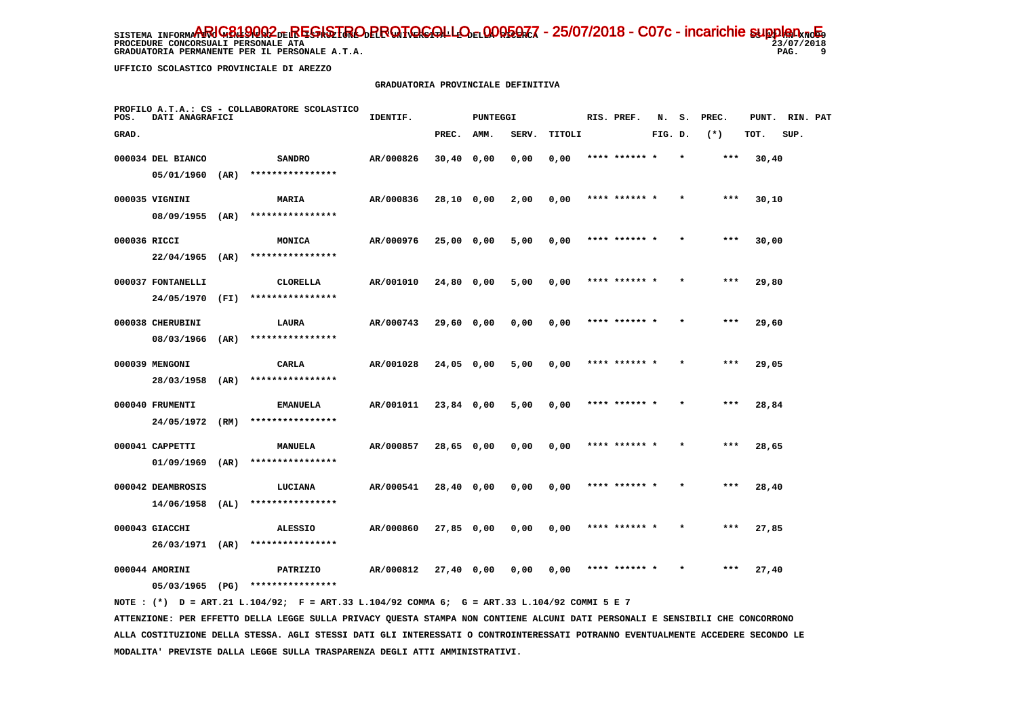**PROCEDURE CONCORSUALI PERSONALE ATA**<br> **PROCEDURE CONCORSUALI PERSONALE ATA** 23/07,<br>
GRADUATORIA PERMANENTE PER IL PERSONALE A.T.A.<br>
PAG.

 **GRADUATORIA PERMANENTE PER IL PERSONALE A.T.A.** 

 $23/07/2018$ 9

 **UFFICIO SCOLASTICO PROVINCIALE DI AREZZO**

#### **GRADUATORIA PROVINCIALE DEFINITIVA**

| POS.         | DATI ANAGRAFICI   |      | PROFILO A.T.A.: CS - COLLABORATORE SCOLASTICO | IDENTIF.  |              | PUNTEGGI |       |        |      | RIS. PREF.    | N.      | s.      | PREC. | PUNT. | RIN. PAT |  |
|--------------|-------------------|------|-----------------------------------------------|-----------|--------------|----------|-------|--------|------|---------------|---------|---------|-------|-------|----------|--|
| GRAD.        |                   |      |                                               |           | PREC.        | AMM.     | SERV. | TITOLI |      |               | FIG. D. |         | $(*)$ | TOT.  | SUP.     |  |
|              | 000034 DEL BIANCO |      | <b>SANDRO</b>                                 | AR/000826 | $30,40$ 0,00 |          | 0,00  | 0,00   |      |               |         |         | ***   | 30,40 |          |  |
|              | 05/01/1960        | (AR) | ****************                              |           |              |          |       |        |      |               |         |         |       |       |          |  |
|              | 000035 VIGNINI    |      | MARIA                                         | AR/000836 | 28,10 0,00   |          | 2,00  | 0,00   |      | **** ****** * |         |         | $***$ | 30,10 |          |  |
|              | 08/09/1955        | (AR) | ****************                              |           |              |          |       |        |      |               |         |         |       |       |          |  |
| 000036 RICCI |                   |      | <b>MONICA</b>                                 | AR/000976 | 25,00 0,00   |          | 5,00  | 0,00   |      | **** ****** * |         | $\star$ | $***$ | 30,00 |          |  |
|              | 22/04/1965        | (AR) | ****************                              |           |              |          |       |        |      |               |         |         |       |       |          |  |
|              | 000037 FONTANELLI |      | <b>CLORELLA</b>                               | AR/001010 | 24,80 0,00   |          | 5,00  | 0,00   |      | **** ****** * |         |         | $***$ | 29,80 |          |  |
|              | 24/05/1970        | (FI) | ****************                              |           |              |          |       |        |      |               |         |         |       |       |          |  |
|              | 000038 CHERUBINI  |      | <b>LAURA</b>                                  | AR/000743 | 29,60 0,00   |          | 0,00  | 0,00   |      | **** ****** * |         |         | $***$ | 29,60 |          |  |
|              | 08/03/1966        | (AR) | ****************                              |           |              |          |       |        |      |               |         |         |       |       |          |  |
|              | 000039 MENGONI    |      | CARLA                                         | AR/001028 | 24,05 0,00   |          | 5,00  | 0,00   |      | **** ****** * |         | $\star$ | $***$ | 29,05 |          |  |
|              | 28/03/1958        | (AR) | ****************                              |           |              |          |       |        |      |               |         |         |       |       |          |  |
|              | 000040 FRUMENTI   |      | <b>EMANUELA</b>                               | AR/001011 | 23,84 0,00   |          | 5,00  | 0,00   | **** |               |         |         | $***$ | 28,84 |          |  |
|              | 24/05/1972        | (RM) | ****************                              |           |              |          |       |        |      |               |         |         |       |       |          |  |
|              | 000041 CAPPETTI   |      | MANUELA                                       | AR/000857 | 28,65 0,00   |          | 0,00  | 0,00   |      | **** ****** * |         |         | $***$ | 28,65 |          |  |
|              | 01/09/1969        | (AR) | ****************                              |           |              |          |       |        |      |               |         |         |       |       |          |  |
|              | 000042 DEAMBROSIS |      | LUCIANA                                       | AR/000541 | 28,40 0,00   |          | 0,00  | 0,00   |      | **** ****** * |         |         | $***$ | 28,40 |          |  |
|              | 14/06/1958        | (AL) | ****************                              |           |              |          |       |        |      |               |         |         |       |       |          |  |
|              | 000043 GIACCHI    |      | <b>ALESSIO</b>                                | AR/000860 | 27,85 0,00   |          | 0,00  | 0,00   |      | **** ****** * |         |         | $***$ | 27,85 |          |  |
|              | 26/03/1971 (AR)   |      | ****************                              |           |              |          |       |        |      |               |         |         |       |       |          |  |
|              | 000044 AMORINI    |      | PATRIZIO                                      | AR/000812 | 27,40 0,00   |          | 0,00  | 0,00   |      |               |         |         |       | 27,40 |          |  |
|              | 05/03/1965        | (PG) | ****************                              |           |              |          |       |        |      |               |         |         |       |       |          |  |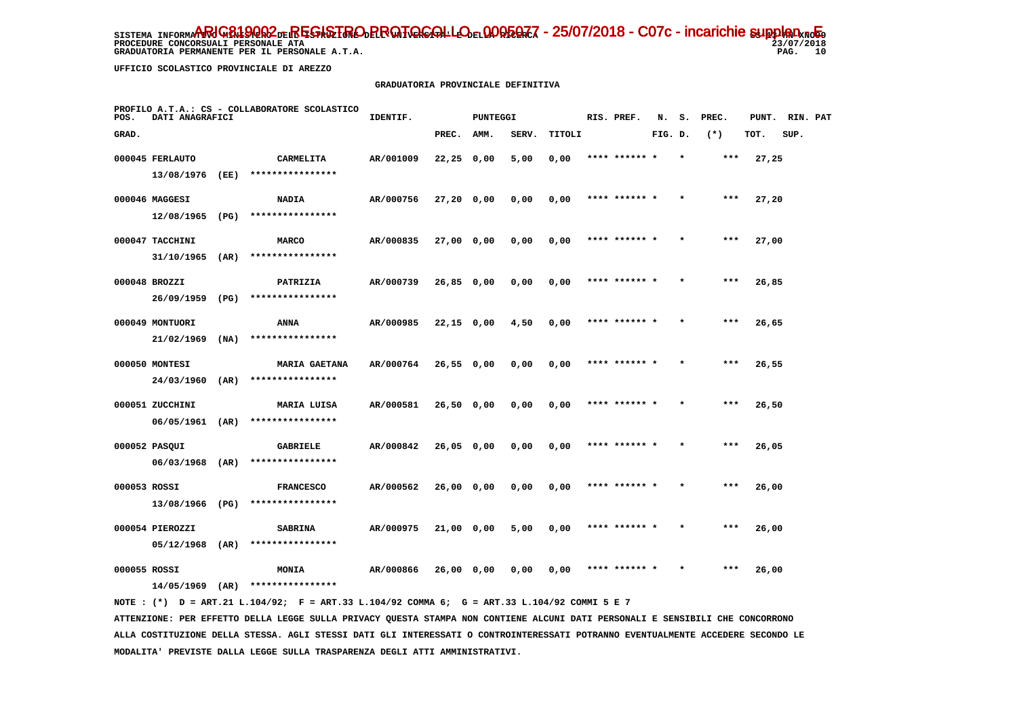**PROCEDURE CONCORSUALI PERSONALE ATA** 

 **GRADUATORIA PERMANENTE PER IL PERSONALE A.T.A.** 

 **UFFICIO SCOLASTICO PROVINCIALE DI AREZZO**

#### **GRADUATORIA PROVINCIALE DEFINITIVA**

| POS.         | DATI ANAGRAFICI                      |      | PROFILO A.T.A.: CS - COLLABORATORE SCOLASTICO | IDENTIF.  |              | PUNTEGGI |       |        | RIS. PREF.    | N.      | s.      | PREC. | PUNT. | RIN. PAT |  |
|--------------|--------------------------------------|------|-----------------------------------------------|-----------|--------------|----------|-------|--------|---------------|---------|---------|-------|-------|----------|--|
| GRAD.        |                                      |      |                                               |           | PREC.        | AMM.     | SERV. | TITOLI |               | FIG. D. |         | $(*)$ | TOT.  | SUP.     |  |
|              | 000045 FERLAUTO                      |      | CARMELITA                                     | AR/001009 | $22,25$ 0,00 |          | 5,00  | 0,00   | **** ******   |         |         | $***$ | 27,25 |          |  |
|              | 13/08/1976 (EE)                      |      | ****************                              |           |              |          |       |        |               |         |         |       |       |          |  |
|              | 000046 MAGGESI                       |      | <b>NADIA</b>                                  | AR/000756 | 27,20 0,00   |          | 0,00  | 0,00   | **** ****** * |         |         | $***$ | 27,20 |          |  |
|              | 12/08/1965                           | (PG) | ****************                              |           |              |          |       |        |               |         |         |       |       |          |  |
|              | 000047 TACCHINI                      |      | <b>MARCO</b>                                  | AR/000835 | 27,00 0,00   |          | 0,00  | 0,00   | **** ****** * |         | $\star$ | ***   | 27,00 |          |  |
|              | 31/10/1965                           | (AR) | ****************                              |           |              |          |       |        |               |         |         |       |       |          |  |
|              | 000048 BROZZI                        |      | PATRIZIA                                      | AR/000739 | $26,85$ 0,00 |          | 0,00  | 0,00   |               |         |         | $***$ | 26,85 |          |  |
|              | 26/09/1959                           | (PG) | ****************                              |           |              |          |       |        |               |         |         |       |       |          |  |
|              | 000049 MONTUORI                      |      | ANNA                                          | AR/000985 | $22,15$ 0,00 |          | 4,50  | 0,00   | **** ****** * |         |         | $***$ | 26,65 |          |  |
|              | 21/02/1969                           | (NA) | ****************                              |           |              |          |       |        |               |         |         |       |       |          |  |
|              | 000050 MONTESI                       |      | <b>MARIA GAETANA</b>                          | AR/000764 | 26,55 0,00   |          | 0,00  | 0,00   | **** ****** * |         |         | $***$ | 26,55 |          |  |
|              | 24/03/1960                           | (AR) | ****************                              |           |              |          |       |        |               |         |         |       |       |          |  |
|              | 000051 ZUCCHINI                      |      | MARIA LUISA                                   | AR/000581 | $26,50$ 0,00 |          | 0,00  | 0,00   | **** ******   |         |         | ***   | 26,50 |          |  |
|              | 06/05/1961 (AR)                      |      | ****************                              |           |              |          |       |        |               |         |         |       |       |          |  |
|              | 000052 PASQUI                        |      | <b>GABRIELE</b><br>****************           | AR/000842 | $26,05$ 0,00 |          | 0,00  | 0,00   | **** ****** * |         |         | $***$ | 26,05 |          |  |
|              | 06/03/1968 (AR)                      |      |                                               |           |              |          |       |        |               |         |         |       |       |          |  |
| 000053 ROSSI | 13/08/1966 (PG)                      |      | <b>FRANCESCO</b><br>****************          | AR/000562 | 26,00 0,00   |          | 0,00  | 0,00   | **** ****** * |         |         | $***$ | 26,00 |          |  |
|              |                                      |      |                                               |           |              |          |       |        |               |         |         |       |       |          |  |
|              | 000054 PIEROZZI<br>$05/12/1968$ (AR) |      | <b>SABRINA</b><br>****************            | AR/000975 | 21,00 0,00   |          | 5,00  | 0,00   | **** ****** * |         |         | $***$ | 26,00 |          |  |
|              |                                      |      |                                               |           |              |          |       |        |               |         |         |       |       |          |  |
| 000055 ROSSI | 14/05/1969                           | (AR) | <b>MONIA</b><br>****************              | AR/000866 | 26,00 0,00   |          | 0.00  | 0,00   |               |         |         | ***   | 26,00 |          |  |
|              |                                      |      |                                               |           |              |          |       |        |               |         |         |       |       |          |  |

 **NOTE : (\*) D = ART.21 L.104/92; F = ART.33 L.104/92 COMMA 6; G = ART.33 L.104/92 COMMI 5 E 7 ATTENZIONE: PER EFFETTO DELLA LEGGE SULLA PRIVACY QUESTA STAMPA NON CONTIENE ALCUNI DATI PERSONALI E SENSIBILI CHE CONCORRONO**

 **ALLA COSTITUZIONE DELLA STESSA. AGLI STESSI DATI GLI INTERESSATI O CONTROINTERESSATI POTRANNO EVENTUALMENTE ACCEDERE SECONDO LE MODALITA' PREVISTE DALLA LEGGE SULLA TRASPARENZA DEGLI ATTI AMMINISTRATIVI.**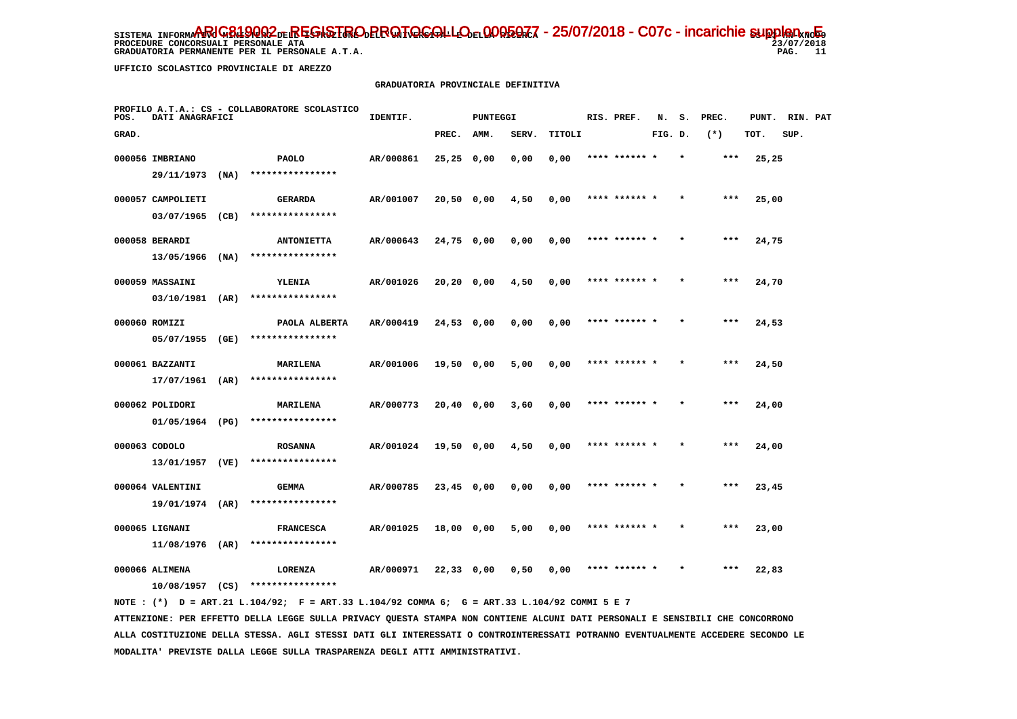**PROCEDURE CONCORSUALI PERSONALE ATA** 

GRADUATORIA PERMANENTE PER IL PERSONALE A.T.A.

 $23/07/2018$ PAG. 11

 **UFFICIO SCOLASTICO PROVINCIALE DI AREZZO**

#### **GRADUATORIA PROVINCIALE DEFINITIVA**

| POS.  | DATI ANAGRAFICI              |      | PROFILO A.T.A.: CS - COLLABORATORE SCOLASTICO | IDENTIF.  |              | PUNTEGGI |       |        | RIS. PREF.    | N.      | s.      | PREC. | PUNT. | RIN. PAT |  |
|-------|------------------------------|------|-----------------------------------------------|-----------|--------------|----------|-------|--------|---------------|---------|---------|-------|-------|----------|--|
| GRAD. |                              |      |                                               |           | PREC.        | AMM.     | SERV. | TITOLI |               | FIG. D. |         | $(*)$ | TOT.  | SUP.     |  |
|       | 000056 IMBRIANO              |      | <b>PAOLO</b>                                  | AR/000861 | $25,25$ 0,00 |          | 0,00  | 0,00   | **** ******   |         |         | $***$ | 25,25 |          |  |
|       | 29/11/1973                   | (NA) | ****************                              |           |              |          |       |        |               |         |         |       |       |          |  |
|       | 000057 CAMPOLIETI            |      | <b>GERARDA</b>                                | AR/001007 | 20,50 0,00   |          | 4,50  | 0,00   | **** ****** * |         |         | $***$ | 25,00 |          |  |
|       | 03/07/1965                   | (CB) | ****************                              |           |              |          |       |        |               |         |         |       |       |          |  |
|       | 000058 BERARDI               |      | <b>ANTONIETTA</b>                             | AR/000643 | 24,75 0,00   |          | 0,00  | 0,00   | **** ****** * |         | $\star$ | $***$ | 24,75 |          |  |
|       | 13/05/1966                   | (NA) | ****************                              |           |              |          |       |        |               |         |         |       |       |          |  |
|       | 000059 MASSAINI              |      | YLENIA                                        | AR/001026 | 20,20 0,00   |          | 4,50  | 0,00   | **** ****** * |         |         | ***   | 24,70 |          |  |
|       | 03/10/1981 (AR)              |      | ****************                              |           |              |          |       |        |               |         |         |       |       |          |  |
|       | 000060 ROMIZI                |      | PAOLA ALBERTA                                 | AR/000419 | 24,53 0,00   |          | 0,00  | 0,00   | **** ****** * |         |         | $***$ | 24,53 |          |  |
|       | 05/07/1955 (GE)              |      | ****************                              |           |              |          |       |        |               |         |         |       |       |          |  |
|       | 000061 BAZZANTI              |      | <b>MARILENA</b>                               | AR/001006 | 19,50 0,00   |          | 5,00  | 0,00   | **** ****** * |         | $\star$ | $***$ | 24,50 |          |  |
|       | 17/07/1961                   | (AR) | ****************                              |           |              |          |       |        |               |         |         |       |       |          |  |
|       | 000062 POLIDORI              |      | MARILENA                                      | AR/000773 | 20,40 0,00   |          | 3,60  | 0,00   |               |         |         | ***   | 24,00 |          |  |
|       | 01/05/1964 (PG)              |      | ****************                              |           |              |          |       |        |               |         |         |       |       |          |  |
|       | 000063 CODOLO                |      | <b>ROSANNA</b>                                | AR/001024 | 19,50 0,00   |          | 4,50  | 0,00   | **** ****** * |         |         | $***$ | 24,00 |          |  |
|       | 13/01/1957                   | (VE) | ****************                              |           |              |          |       |        |               |         |         |       |       |          |  |
|       | 000064 VALENTINI             |      | <b>GEMMA</b>                                  | AR/000785 | 23,45 0,00   |          | 0,00  | 0,00   | **** ****** * |         |         | $***$ | 23,45 |          |  |
|       | 19/01/1974                   | (AR) | ****************                              |           |              |          |       |        |               |         |         |       |       |          |  |
|       | 000065 LIGNANI               |      | <b>FRANCESCA</b>                              | AR/001025 | 18,00 0,00   |          | 5,00  | 0,00   | **** ****** * |         |         | $***$ | 23,00 |          |  |
|       | $11/08/1976$ (AR)            |      | ****************                              |           |              |          |       |        |               |         |         |       |       |          |  |
|       | 000066 ALIMENA<br>10/08/1957 | (CS) | LORENZA<br>****************                   | AR/000971 | 22,33 0,00   |          | 0,50  | 0,00   |               |         |         |       | 22,83 |          |  |
|       |                              |      |                                               |           |              |          |       |        |               |         |         |       |       |          |  |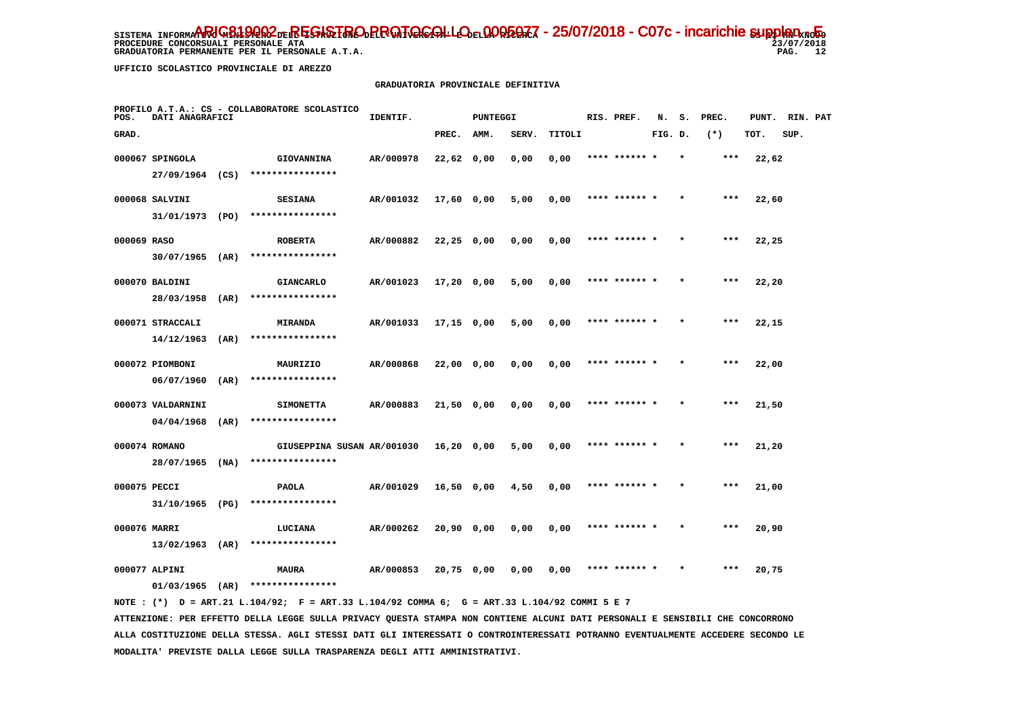**PROCEDURE CONCORSUALI PERSONALE ATA** 

 **GRADUATORIA PERMANENTE PER IL PERSONALE A.T.A.** 

 $23/07/2018$ PAG. 12

 **UFFICIO SCOLASTICO PROVINCIALE DI AREZZO**

#### **GRADUATORIA PROVINCIALE DEFINITIVA**

| POS.         | DATI ANAGRAFICI   |      | PROFILO A.T.A.: CS - COLLABORATORE SCOLASTICO | IDENTIF.  |              | <b>PUNTEGGI</b> |       |        | RIS. PREF.    | N.      | s.      | PREC. | PUNT. | RIN. PAT |  |
|--------------|-------------------|------|-----------------------------------------------|-----------|--------------|-----------------|-------|--------|---------------|---------|---------|-------|-------|----------|--|
| GRAD.        |                   |      |                                               |           | PREC.        | AMM.            | SERV. | TITOLI |               | FIG. D. |         | $(*)$ | TOT.  | SUP.     |  |
|              | 000067 SPINGOLA   |      | <b>GIOVANNINA</b>                             | AR/000978 | $22,62$ 0,00 |                 | 0,00  | 0,00   | **** ****** * |         |         | ***   | 22,62 |          |  |
|              | 27/09/1964 (CS)   |      | ****************                              |           |              |                 |       |        |               |         |         |       |       |          |  |
|              | 000068 SALVINI    |      | <b>SESIANA</b>                                | AR/001032 | 17,60 0,00   |                 | 5,00  | 0,00   | **** ****** * |         |         | ***   | 22,60 |          |  |
|              | 31/01/1973 (PO)   |      | ****************                              |           |              |                 |       |        |               |         |         |       |       |          |  |
| 000069 RASO  |                   |      | <b>ROBERTA</b>                                | AR/000882 | $22,25$ 0,00 |                 | 0,00  | 0,00   | **** ****** * |         |         | $***$ | 22,25 |          |  |
|              | $30/07/1965$ (AR) |      | ****************                              |           |              |                 |       |        |               |         |         |       |       |          |  |
|              | 000070 BALDINI    |      | <b>GIANCARLO</b>                              | AR/001023 | 17,20 0,00   |                 | 5,00  | 0,00   | **** ****** * |         | $\star$ | $***$ | 22,20 |          |  |
|              | 28/03/1958        | (AR) | ****************                              |           |              |                 |       |        |               |         |         |       |       |          |  |
|              | 000071 STRACCALI  |      | MIRANDA                                       | AR/001033 | 17,15 0,00   |                 | 5,00  | 0,00   | **** ****** * |         |         | ***   | 22,15 |          |  |
|              | 14/12/1963        | (AR) | ****************                              |           |              |                 |       |        |               |         |         |       |       |          |  |
|              | 000072 PIOMBONI   |      | MAURIZIO                                      | AR/000868 | 22,00 0,00   |                 | 0,00  | 0,00   | **** ****** * |         |         | $***$ | 22,00 |          |  |
|              | 06/07/1960        | (AR) | ****************                              |           |              |                 |       |        |               |         |         |       |       |          |  |
|              | 000073 VALDARNINI |      | <b>SIMONETTA</b>                              | AR/000883 | 21,50 0,00   |                 | 0.00  | 0,00   | **** ****** * |         |         | $***$ | 21,50 |          |  |
|              | 04/04/1968        | (AR) | ****************                              |           |              |                 |       |        |               |         |         |       |       |          |  |
|              | 000074 ROMANO     |      | GIUSEPPINA SUSAN AR/001030                    |           | 16,20 0,00   |                 | 5,00  | 0,00   | **** ****** * |         |         | ***   | 21,20 |          |  |
|              | $28/07/1965$ (NA) |      | ****************                              |           |              |                 |       |        |               |         |         |       |       |          |  |
| 000075 PECCI |                   |      | <b>PAOLA</b>                                  | AR/001029 | 16,50 0,00   |                 | 4,50  | 0,00   | **** ****** * |         |         | ***   | 21,00 |          |  |
|              | 31/10/1965 (PG)   |      | ****************                              |           |              |                 |       |        |               |         |         |       |       |          |  |
| 000076 MARRI |                   |      | LUCIANA<br>****************                   | AR/000262 | 20,90 0,00   |                 | 0,00  | 0,00   | **** ****** * |         |         | ***   | 20,90 |          |  |
|              | $13/02/1963$ (AR) |      |                                               |           |              |                 |       |        |               |         |         |       |       |          |  |
|              | 000077 ALPINI     |      | <b>MAURA</b>                                  | AR/000853 | $20,75$ 0,00 |                 | 0,00  | 0,00   | **** ****** * |         |         | $***$ | 20,75 |          |  |
|              | 01/03/1965        | (AR) | ****************                              |           |              |                 |       |        |               |         |         |       |       |          |  |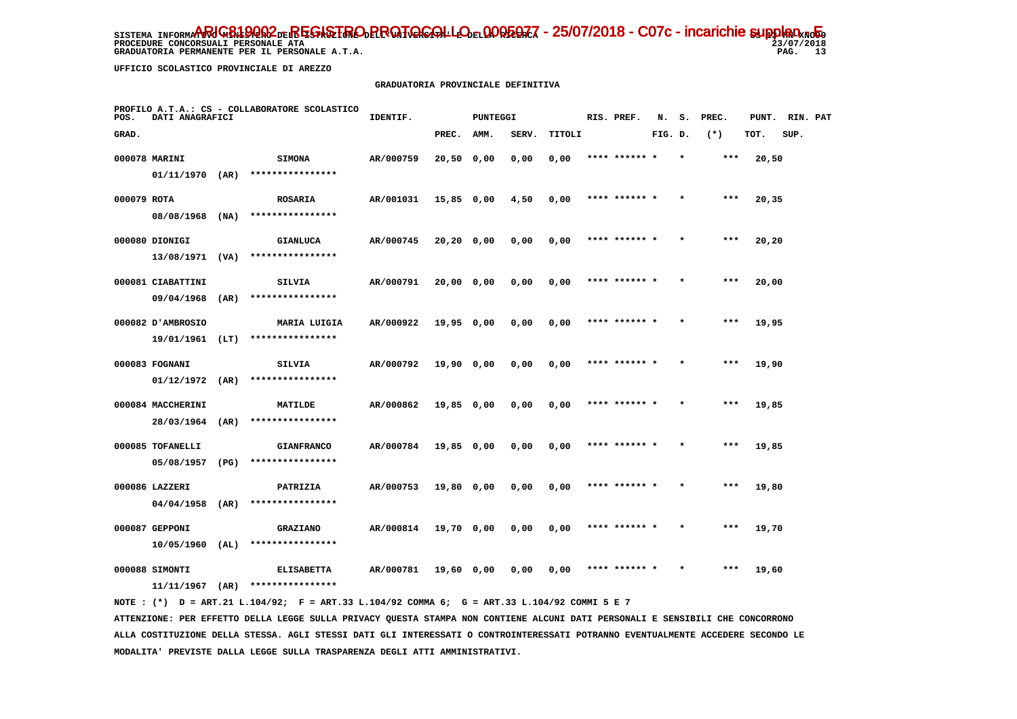**PROCEDURE CONCORSUALI PERSONALE ATA** 

 **GRADUATORIA PERMANENTE PER IL PERSONALE A.T.A.** 

 $23/07/2018$ PAG. 13

 **UFFICIO SCOLASTICO PROVINCIALE DI AREZZO**

### **GRADUATORIA PROVINCIALE DEFINITIVA**

| POS.        | DATI ANAGRAFICI   |      | PROFILO A.T.A.: CS - COLLABORATORE SCOLASTICO | IDENTIF.  |               | PUNTEGGI |       |        | RIS. PREF.    | N.      | s.      | PREC. | PUNT. | RIN. PAT |  |
|-------------|-------------------|------|-----------------------------------------------|-----------|---------------|----------|-------|--------|---------------|---------|---------|-------|-------|----------|--|
| GRAD.       |                   |      |                                               |           | PREC.         | AMM.     | SERV. | TITOLI |               | FIG. D. |         | $(*)$ | TOT.  | SUP.     |  |
|             | 000078 MARINI     |      | <b>SIMONA</b>                                 | AR/000759 | 20,50 0,00    |          | 0,00  | 0,00   | **** ****** * |         | $\star$ | ***   | 20,50 |          |  |
|             | $01/11/1970$ (AR) |      | ****************                              |           |               |          |       |        |               |         |         |       |       |          |  |
| 000079 ROTA |                   |      | <b>ROSARIA</b>                                | AR/001031 | 15,85 0,00    |          | 4,50  | 0,00   | **** ******   |         |         | $***$ | 20,35 |          |  |
|             | 08/08/1968        | (NA) | ****************                              |           |               |          |       |        |               |         |         |       |       |          |  |
|             | 000080 DIONIGI    |      | <b>GIANLUCA</b>                               | AR/000745 | 20, 20, 0, 00 |          | 0,00  | 0,00   | **** ****** * |         | $\star$ | ***   | 20,20 |          |  |
|             | 13/08/1971 (VA)   |      | ****************                              |           |               |          |       |        |               |         |         |       |       |          |  |
|             | 000081 CIABATTINI |      | SILVIA                                        | AR/000791 | 20,00 0,00    |          | 0,00  | 0,00   | **** ****** * |         |         | ***   | 20,00 |          |  |
|             | 09/04/1968        | (AR) | ****************                              |           |               |          |       |        |               |         |         |       |       |          |  |
|             | 000082 D'AMBROSIO |      | <b>MARIA LUIGIA</b>                           | AR/000922 | 19,95 0,00    |          | 0,00  | 0,00   | **** ****** * |         |         | $***$ | 19,95 |          |  |
|             | 19/01/1961 (LT)   |      | ****************                              |           |               |          |       |        |               |         |         |       |       |          |  |
|             | 000083 FOGNANI    |      | SILVIA                                        | AR/000792 | 19,90 0,00    |          | 0,00  | 0,00   | **** ****** * |         |         | $***$ | 19,90 |          |  |
|             | $01/12/1972$ (AR) |      | ****************                              |           |               |          |       |        |               |         |         |       |       |          |  |
|             | 000084 MACCHERINI |      | MATILDE                                       | AR/000862 | 19,85 0,00    |          | 0,00  | 0,00   |               |         |         | $***$ | 19,85 |          |  |
|             | 28/03/1964        | (AR) | ****************                              |           |               |          |       |        |               |         |         |       |       |          |  |
|             | 000085 TOFANELLI  |      | <b>GIANFRANCO</b>                             | AR/000784 | 19,85 0,00    |          | 0,00  | 0,00   | **** ****** * |         |         | $***$ | 19,85 |          |  |
|             | 05/08/1957        | (PG) | ****************                              |           |               |          |       |        |               |         |         |       |       |          |  |
|             | 000086 LAZZERI    |      | PATRIZIA                                      | AR/000753 | 19,80 0,00    |          | 0,00  | 0,00   | **** ****** * |         |         | $***$ | 19,80 |          |  |
|             | 04/04/1958        | (AR) | ****************                              |           |               |          |       |        |               |         |         |       |       |          |  |
|             | 000087 GEPPONI    |      | <b>GRAZIANO</b>                               | AR/000814 | 19,70 0,00    |          | 0,00  | 0,00   | **** ****** * |         |         | $***$ | 19,70 |          |  |
|             | $10/05/1960$ (AL) |      | ****************                              |           |               |          |       |        |               |         |         |       |       |          |  |
|             | 000088 SIMONTI    |      | <b>ELISABETTA</b><br>****************         | AR/000781 | 19,60 0,00    |          | 0.00  | 0,00   |               |         |         | ***   | 19,60 |          |  |
|             | 11/11/1967        | (AR) |                                               |           |               |          |       |        |               |         |         |       |       |          |  |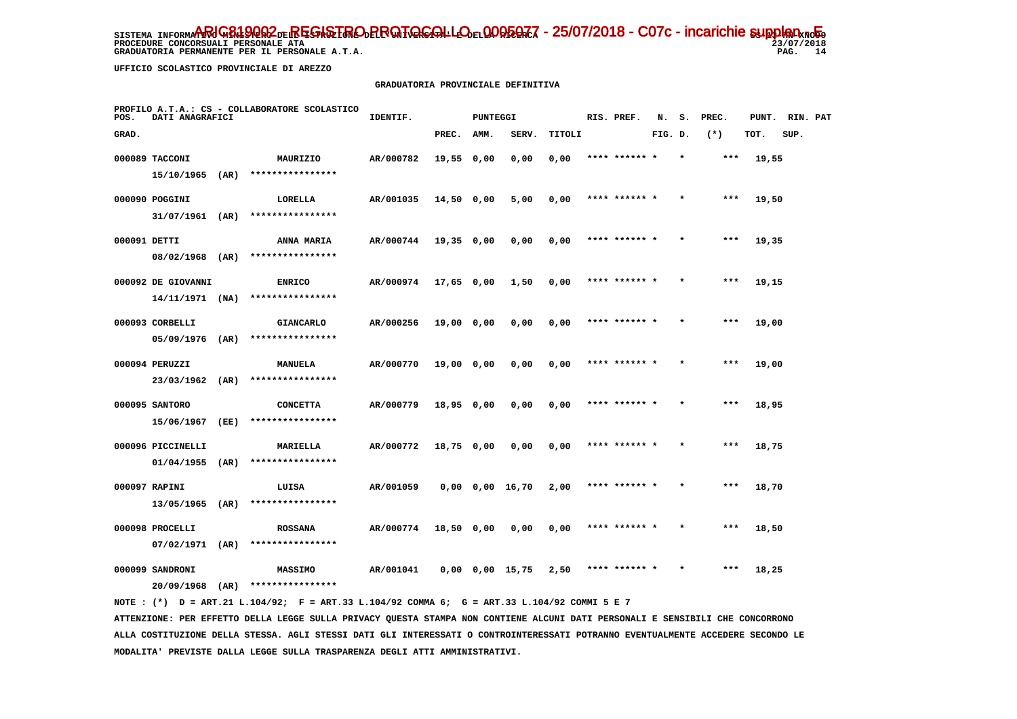**PROCEDURE CONCORSUALI PERSONALE ATA** 

 **GRADUATORIA PERMANENTE PER IL PERSONALE A.T.A.** 

 $23/07/2018$ PAG. 14

 **UFFICIO SCOLASTICO PROVINCIALE DI AREZZO**

#### **GRADUATORIA PROVINCIALE DEFINITIVA**

| POS.         | DATI ANAGRAFICI    |      | PROFILO A.T.A.: CS - COLLABORATORE SCOLASTICO | IDENTIF.  |            | PUNTEGGI |                       |        | RIS. PREF.    | N.      | s.      | PREC. | PUNT. | RIN. PAT |  |
|--------------|--------------------|------|-----------------------------------------------|-----------|------------|----------|-----------------------|--------|---------------|---------|---------|-------|-------|----------|--|
| GRAD.        |                    |      |                                               |           | PREC.      | AMM.     | SERV.                 | TITOLI |               | FIG. D. |         | $(*)$ | TOT.  | SUP.     |  |
|              | 000089 TACCONI     |      | MAURIZIO                                      | AR/000782 | 19,55 0,00 |          | 0,00                  | 0,00   | **** ****** * |         | $\star$ | ***   | 19,55 |          |  |
|              | 15/10/1965 (AR)    |      | ****************                              |           |            |          |                       |        |               |         |         |       |       |          |  |
|              | 000090 POGGINI     |      | LORELLA                                       | AR/001035 | 14,50 0,00 |          | 5,00                  | 0,00   | **** ****** * |         |         | ***   | 19,50 |          |  |
|              | $31/07/1961$ (AR)  |      | ****************                              |           |            |          |                       |        |               |         |         |       |       |          |  |
| 000091 DETTI |                    |      | ANNA MARIA                                    | AR/000744 | 19,35 0,00 |          | 0,00                  | 0,00   | **** ****** * |         |         | ***   | 19,35 |          |  |
|              | 08/02/1968         | (AR) | ****************                              |           |            |          |                       |        |               |         |         |       |       |          |  |
|              | 000092 DE GIOVANNI |      | <b>ENRICO</b>                                 | AR/000974 | 17,65 0,00 |          | 1,50                  | 0,00   | **** ****** * |         |         | $***$ | 19,15 |          |  |
|              | $14/11/1971$ (NA)  |      | ****************                              |           |            |          |                       |        |               |         |         |       |       |          |  |
|              | 000093 CORBELLI    |      | <b>GIANCARLO</b>                              | AR/000256 | 19,00 0,00 |          | 0,00                  | 0,00   | **** ****** * |         |         | ***   | 19,00 |          |  |
|              | 05/09/1976 (AR)    |      | ****************                              |           |            |          |                       |        |               |         |         |       |       |          |  |
|              | 000094 PERUZZI     |      | <b>MANUELA</b>                                | AR/000770 | 19,00 0,00 |          | 0,00                  | 0,00   | **** ****** * |         | $\star$ | ***   | 19,00 |          |  |
|              | 23/03/1962 (AR)    |      | ****************                              |           |            |          |                       |        |               |         |         |       |       |          |  |
|              | 000095 SANTORO     |      | <b>CONCETTA</b>                               | AR/000779 | 18,95 0,00 |          | 0,00                  | 0,00   |               |         |         |       | 18,95 |          |  |
|              | 15/06/1967         | (EE) | ****************                              |           |            |          |                       |        |               |         |         |       |       |          |  |
|              | 000096 PICCINELLI  |      | MARIELLA                                      | AR/000772 | 18,75 0,00 |          | 0,00                  | 0,00   | **** ****** * |         |         | $***$ | 18,75 |          |  |
|              | $01/04/1955$ (AR)  |      | ****************                              |           |            |          |                       |        |               |         |         |       |       |          |  |
|              | 000097 RAPINI      |      | LUISA                                         | AR/001059 |            |          | $0,00$ $0,00$ $16,70$ | 2,00   | **** ****** * |         |         | $***$ | 18,70 |          |  |
|              | 13/05/1965         | (AR) | ****************                              |           |            |          |                       |        |               |         |         |       |       |          |  |
|              | 000098 PROCELLI    |      | <b>ROSSANA</b>                                | AR/000774 | 18,50 0,00 |          | 0,00                  | 0,00   | **** ****** * |         |         | $***$ | 18,50 |          |  |
|              | $07/02/1971$ (AR)  |      | ****************                              |           |            |          |                       |        |               |         |         |       |       |          |  |
|              | 000099 SANDRONI    |      | <b>MASSIMO</b><br>****************            | AR/001041 |            |          | $0,00$ $0,00$ $15,75$ | 2,50   |               |         |         | ***   | 18,25 |          |  |
|              | 20/09/1968         | (AR) |                                               |           |            |          |                       |        |               |         |         |       |       |          |  |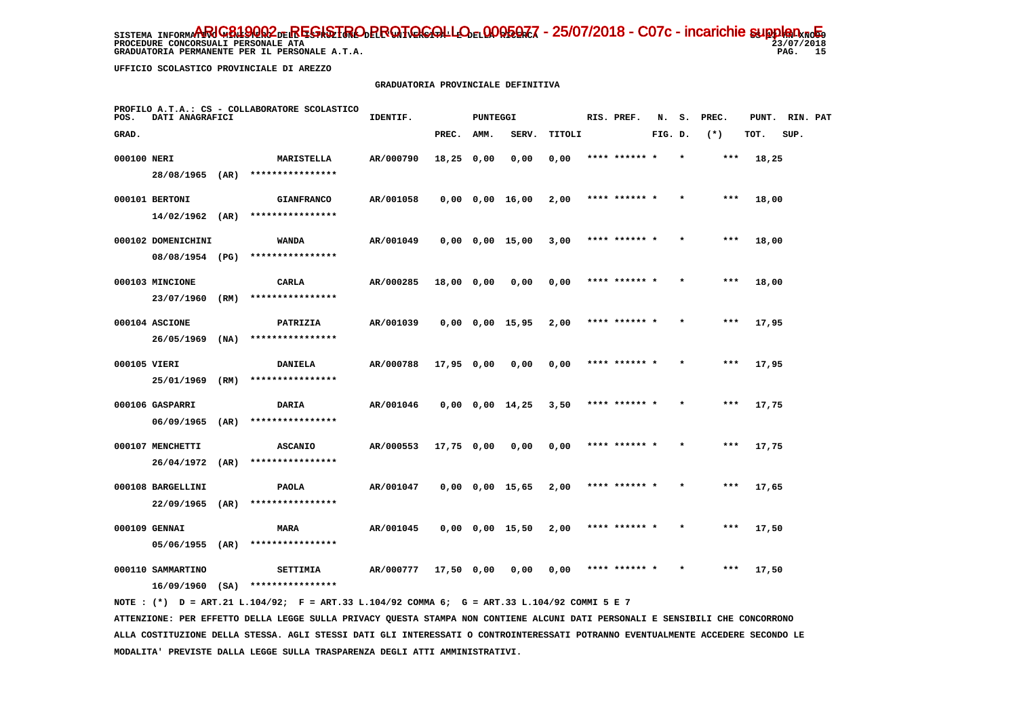PROCEDURE CONCORSUALI PERSONALE ATA

 **GRADUATORIA PERMANENTE PER IL PERSONALE A.T.A.** 

 $23/07/2018$ PAG. 15

 **UFFICIO SCOLASTICO PROVINCIALE DI AREZZO**

#### **GRADUATORIA PROVINCIALE DEFINITIVA**

| POS.         | PROFILO A.T.A.: CS - COLLABORATORE SCOLASTICO<br>DATI ANAGRAFICI |      |                              | IDENTIF.  |              | <b>PUNTEGGI</b> |                       |        | RIS. PREF.    | N.      | s.<br>PREC. |       | PUNT. | RIN. PAT |  |
|--------------|------------------------------------------------------------------|------|------------------------------|-----------|--------------|-----------------|-----------------------|--------|---------------|---------|-------------|-------|-------|----------|--|
| GRAD.        |                                                                  |      |                              |           | PREC.        | AMM.            | SERV.                 | TITOLI |               | FIG. D. |             | $(*)$ | TOT.  | SUP.     |  |
| 000100 NERI  |                                                                  |      | MARISTELLA                   | AR/000790 | $18,25$ 0,00 |                 | 0,00                  | 0,00   | **** ****** * |         |             | $***$ | 18,25 |          |  |
|              | 28/08/1965 (AR)                                                  |      | ****************             |           |              |                 |                       |        |               |         |             |       |       |          |  |
|              | 000101 BERTONI                                                   |      | <b>GIANFRANCO</b>            | AR/001058 |              |                 | $0,00$ $0,00$ $16,00$ | 2,00   | **** ****** * |         |             | $***$ | 18,00 |          |  |
|              | $14/02/1962$ (AR)                                                |      | ****************             |           |              |                 |                       |        |               |         |             |       |       |          |  |
|              | 000102 DOMENICHINI                                               |      | WANDA                        | AR/001049 |              |                 | $0,00$ $0,00$ $15,00$ | 3,00   | **** ****** * |         |             | $***$ | 18,00 |          |  |
|              | 08/08/1954 (PG)                                                  |      | ****************             |           |              |                 |                       |        |               |         |             |       |       |          |  |
|              | 000103 MINCIONE                                                  |      | CARLA                        | AR/000285 | 18,00 0,00   |                 | 0,00                  | 0,00   | **** ****** * |         |             | $***$ | 18,00 |          |  |
|              | 23/07/1960                                                       | (RM) | ****************             |           |              |                 |                       |        |               |         |             |       |       |          |  |
|              | 000104 ASCIONE                                                   |      | PATRIZIA                     | AR/001039 |              |                 | $0,00$ $0,00$ $15,95$ | 2,00   | **** ****** * |         |             | $***$ | 17,95 |          |  |
|              | 26/05/1969                                                       | (NA) | ****************             |           |              |                 |                       |        |               |         |             |       |       |          |  |
| 000105 VIERI |                                                                  |      | <b>DANIELA</b>               | AR/000788 | 17,95 0,00   |                 | 0,00                  | 0,00   | **** ******   |         |             | $***$ | 17,95 |          |  |
|              | 25/01/1969                                                       | (RM) | ****************             |           |              |                 |                       |        |               |         |             |       |       |          |  |
|              | 000106 GASPARRI                                                  |      | DARIA                        | AR/001046 |              |                 | $0,00$ $0,00$ $14,25$ | 3,50   | **** ****** * |         |             | ***   | 17,75 |          |  |
|              | 06/09/1965                                                       | (AR) | ****************             |           |              |                 |                       |        |               |         |             |       |       |          |  |
|              | 000107 MENCHETTI                                                 |      | <b>ASCANIO</b>               | AR/000553 | 17,75 0,00   |                 | 0,00                  | 0,00   | **** ****** * |         |             | $***$ | 17,75 |          |  |
|              | 26/04/1972                                                       | (AR) | ****************             |           |              |                 |                       |        |               |         |             |       |       |          |  |
|              | 000108 BARGELLINI                                                |      | <b>PAOLA</b>                 | AR/001047 |              |                 | $0,00$ $0,00$ $15,65$ | 2,00   | **** ****** * |         |             | ***   | 17,65 |          |  |
|              | 22/09/1965                                                       | (AR) | ****************             |           |              |                 |                       |        |               |         |             |       |       |          |  |
|              | 000109 GENNAI                                                    |      | <b>MARA</b>                  | AR/001045 |              |                 | $0,00$ $0,00$ $15,50$ | 2,00   | **** ****** * |         |             | $***$ | 17,50 |          |  |
|              | $05/06/1955$ (AR)                                                |      | ****************             |           |              |                 |                       |        |               |         |             |       |       |          |  |
|              | 000110 SAMMARTINO                                                |      | SETTIMIA<br>**************** | AR/000777 | 17,50 0,00   |                 | 0.00                  | 0,00   | **** ****** * |         |             | ***   | 17,50 |          |  |
|              | $16/09/1960$ (SA)                                                |      |                              |           |              |                 |                       |        |               |         |             |       |       |          |  |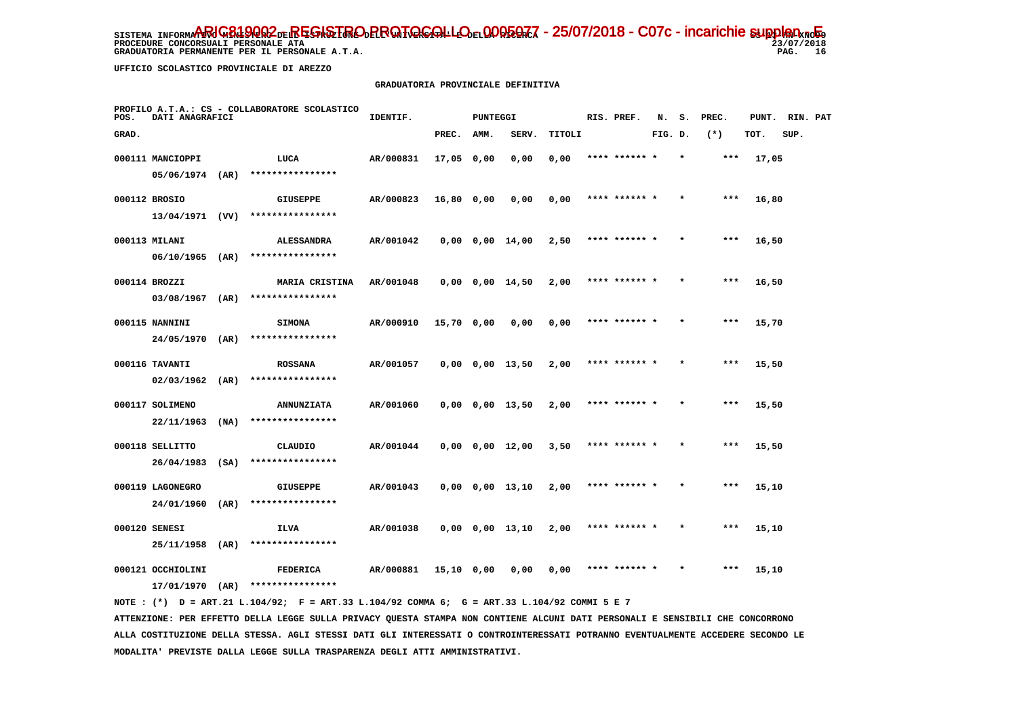**PROCEDURE CONCORSUALI PERSONALE ATA** 

 **GRADUATORIA PERMANENTE PER IL PERSONALE A.T.A.** 

 $23/07/2018$ PAG. 16

 **UFFICIO SCOLASTICO PROVINCIALE DI AREZZO**

#### **GRADUATORIA PROVINCIALE DEFINITIVA**

| POS.  | PROFILO A.T.A.: CS - COLLABORATORE SCOLASTICO<br>DATI ANAGRAFICI |      |                                     | IDENTIF.  |            | <b>PUNTEGGI</b> |                       |        |  | RIS. PREF.    | N.      | s.      | PREC. | PUNT. | RIN. PAT |  |
|-------|------------------------------------------------------------------|------|-------------------------------------|-----------|------------|-----------------|-----------------------|--------|--|---------------|---------|---------|-------|-------|----------|--|
| GRAD. |                                                                  |      |                                     |           | PREC.      | AMM.            | SERV.                 | TITOLI |  |               | FIG. D. |         | $(*)$ | TOT.  | SUP.     |  |
|       | 000111 MANCIOPPI                                                 |      | LUCA                                | AR/000831 | 17,05 0,00 |                 | 0,00                  | 0,00   |  | **** ****** * |         | $\star$ | $***$ | 17,05 |          |  |
|       | 05/06/1974                                                       | (AR) | ****************                    |           |            |                 |                       |        |  |               |         |         |       |       |          |  |
|       | 000112 BROSIO                                                    |      | <b>GIUSEPPE</b>                     | AR/000823 | 16,80 0,00 |                 | 0,00                  | 0,00   |  | **** ****** * |         |         | $***$ | 16,80 |          |  |
|       | $13/04/1971$ (VV)                                                |      | ****************                    |           |            |                 |                       |        |  |               |         |         |       |       |          |  |
|       | 000113 MILANI                                                    |      | <b>ALESSANDRA</b>                   | AR/001042 |            |                 | $0,00$ $0,00$ $14,00$ | 2,50   |  | **** ****** * |         |         | $***$ | 16,50 |          |  |
|       | 06/10/1965                                                       | (AR) | ****************                    |           |            |                 |                       |        |  |               |         |         |       |       |          |  |
|       | 000114 BROZZI                                                    |      | <b>MARIA CRISTINA</b>               | AR/001048 |            |                 | $0,00$ $0,00$ $14,50$ | 2,00   |  | **** ****** * |         |         | $***$ | 16,50 |          |  |
|       | 03/08/1967                                                       | (AR) | ****************                    |           |            |                 |                       |        |  |               |         |         |       |       |          |  |
|       | 000115 NANNINI                                                   |      | <b>SIMONA</b>                       | AR/000910 | 15,70 0,00 |                 | 0,00                  | 0,00   |  | **** ****** * |         |         | $***$ | 15,70 |          |  |
|       | 24/05/1970                                                       | (AR) | ****************                    |           |            |                 |                       |        |  |               |         |         |       |       |          |  |
|       | 000116 TAVANTI                                                   |      | <b>ROSSANA</b>                      | AR/001057 |            |                 | $0,00$ $0,00$ $13,50$ | 2,00   |  | **** ****** * |         |         | ***   | 15,50 |          |  |
|       | 02/03/1962                                                       | (AR) | ****************                    |           |            |                 |                       |        |  |               |         |         |       |       |          |  |
|       | 000117 SOLIMENO                                                  |      | <b>ANNUNZIATA</b>                   | AR/001060 |            |                 | $0,00$ $0,00$ $13,50$ | 2,00   |  | **** ******   |         |         | ***   | 15,50 |          |  |
|       | 22/11/1963                                                       | (NA) | ****************                    |           |            |                 |                       |        |  |               |         |         |       |       |          |  |
|       | 000118 SELLITTO                                                  |      | CLAUDIO<br>****************         | AR/001044 |            |                 | $0,00$ $0,00$ $12,00$ | 3,50   |  | **** ****** * |         |         | ***   | 15,50 |          |  |
|       | 26/04/1983                                                       | (SA) |                                     |           |            |                 |                       |        |  |               |         |         |       |       |          |  |
|       | 000119 LAGONEGRO<br>24/01/1960                                   | (AR) | GIUSEPPE<br>****************        | AR/001043 |            |                 | 0,00 0,00 13,10       | 2,00   |  | **** ****** * |         | $\star$ | $***$ | 15,10 |          |  |
|       |                                                                  |      |                                     |           |            |                 |                       |        |  |               |         |         |       |       |          |  |
|       | 000120 SENESI<br>25/11/1958                                      | (AR) | ILVA<br>****************            | AR/001038 |            |                 | 0,00 0,00 13,10       | 2,00   |  | **** ****** * |         |         | ***   | 15,10 |          |  |
|       |                                                                  |      |                                     |           |            |                 |                       |        |  |               |         |         |       |       |          |  |
|       | 000121 OCCHIOLINI<br>17/01/1970                                  | (AR) | <b>FEDERICA</b><br>**************** | AR/000881 | 15,10 0,00 |                 | 0.00                  | 0.00   |  | **** ****** * |         |         | $***$ | 15,10 |          |  |
|       |                                                                  |      |                                     |           |            |                 |                       |        |  |               |         |         |       |       |          |  |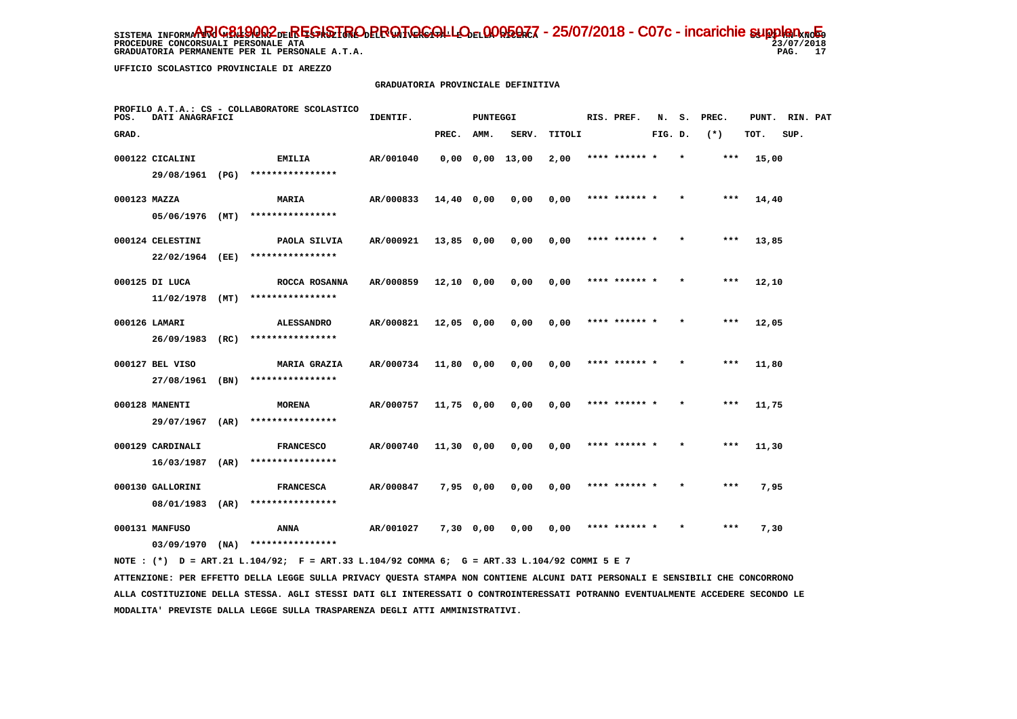PROCEDURE CONCORSUALI PERSONALE ATA

 **GRADUATORIA PERMANENTE PER IL PERSONALE A.T.A.** 

 **UFFICIO SCOLASTICO PROVINCIALE DI AREZZO**

#### **GRADUATORIA PROVINCIALE DEFINITIVA**

| PROFILO A.T.A.: CS - COLLABORATORE SCOLASTICO<br>DATI ANAGRAFICI<br>POS. |                   |      |                     | IDENTIF.<br><b>PUNTEGGI</b> |            |           |                 |        |  | RIS. PREF.    | N.      | s.<br>PREC. |       |       | PUNT. RIN. PAT |  |
|--------------------------------------------------------------------------|-------------------|------|---------------------|-----------------------------|------------|-----------|-----------------|--------|--|---------------|---------|-------------|-------|-------|----------------|--|
| GRAD.                                                                    |                   |      |                     |                             | PREC. AMM. |           | SERV.           | TITOLI |  |               | FIG. D. |             | $(*)$ | TOT.  | SUP.           |  |
|                                                                          | 000122 CICALINI   |      | EMILIA              | AR/001040                   |            |           | 0,00 0,00 13,00 | 2,00   |  | **** ****** * |         | $\star$     | $***$ | 15,00 |                |  |
|                                                                          | 29/08/1961 (PG)   |      | ****************    |                             |            |           |                 |        |  |               |         |             |       |       |                |  |
| 000123 MAZZA                                                             |                   |      | <b>MARIA</b>        | AR/000833                   | 14,40 0,00 |           | 0,00            | 0,00   |  | **** ****** * |         | $\star$     | $***$ | 14,40 |                |  |
|                                                                          | $05/06/1976$ (MT) |      | ****************    |                             |            |           |                 |        |  |               |         |             |       |       |                |  |
|                                                                          | 000124 CELESTINI  |      | PAOLA SILVIA        | AR/000921                   | 13,85 0,00 |           | 0,00            | 0,00   |  | **** ****** * |         | $\star$     | ***   | 13,85 |                |  |
|                                                                          | 22/02/1964        | (EE) | ****************    |                             |            |           |                 |        |  |               |         |             |       |       |                |  |
|                                                                          | 000125 DI LUCA    |      | ROCCA ROSANNA       | AR/000859                   | 12,10 0,00 |           | 0.00            | 0.00   |  | **** ****** * |         |             | ***   | 12,10 |                |  |
|                                                                          | $11/02/1978$ (MT) |      | ****************    |                             |            |           |                 |        |  |               |         |             |       |       |                |  |
|                                                                          | 000126 LAMARI     |      | <b>ALESSANDRO</b>   | AR/000821                   | 12,05 0,00 |           | 0,00            | 0,00   |  | **** ****** * |         |             | $***$ | 12,05 |                |  |
|                                                                          | 26/09/1983        | (RC) | ****************    |                             |            |           |                 |        |  |               |         |             |       |       |                |  |
|                                                                          | 000127 BEL VISO   |      | <b>MARIA GRAZIA</b> | AR/000734                   | 11,80 0,00 |           | 0,00            | 0,00   |  | **** ****** * |         | $\star$     | $***$ | 11,80 |                |  |
|                                                                          | 27/08/1961        | (BN) | ****************    |                             |            |           |                 |        |  |               |         |             |       |       |                |  |
|                                                                          | 000128 MANENTI    |      | <b>MORENA</b>       | AR/000757                   | 11,75 0,00 |           | 0,00            | 0,00   |  | **** ****** * |         |             | $***$ | 11,75 |                |  |
|                                                                          | 29/07/1967        | (AR) | ****************    |                             |            |           |                 |        |  |               |         |             |       |       |                |  |
|                                                                          | 000129 CARDINALI  |      | <b>FRANCESCO</b>    | AR/000740                   | 11,30 0,00 |           | 0,00            | 0,00   |  | **** ****** * |         |             | $***$ | 11,30 |                |  |
|                                                                          | 16/03/1987        | (AR) | ****************    |                             |            |           |                 |        |  |               |         |             |       |       |                |  |
|                                                                          | 000130 GALLORINI  |      | <b>FRANCESCA</b>    | AR/000847                   | 7,95 0,00  |           | 0,00            | 0,00   |  | **** ****** * |         |             | ***   | 7,95  |                |  |
|                                                                          | 08/01/1983        | (AR) | ****************    |                             |            |           |                 |        |  |               |         |             |       |       |                |  |
|                                                                          | 000131 MANFUSO    |      | ANNA                | AR/001027                   |            | 7,30 0,00 | 0,00            | 0,00   |  | **** ****** * |         |             | $***$ | 7,30  |                |  |
|                                                                          | 03/09/1970        | (NA) | ****************    |                             |            |           |                 |        |  |               |         |             |       |       |                |  |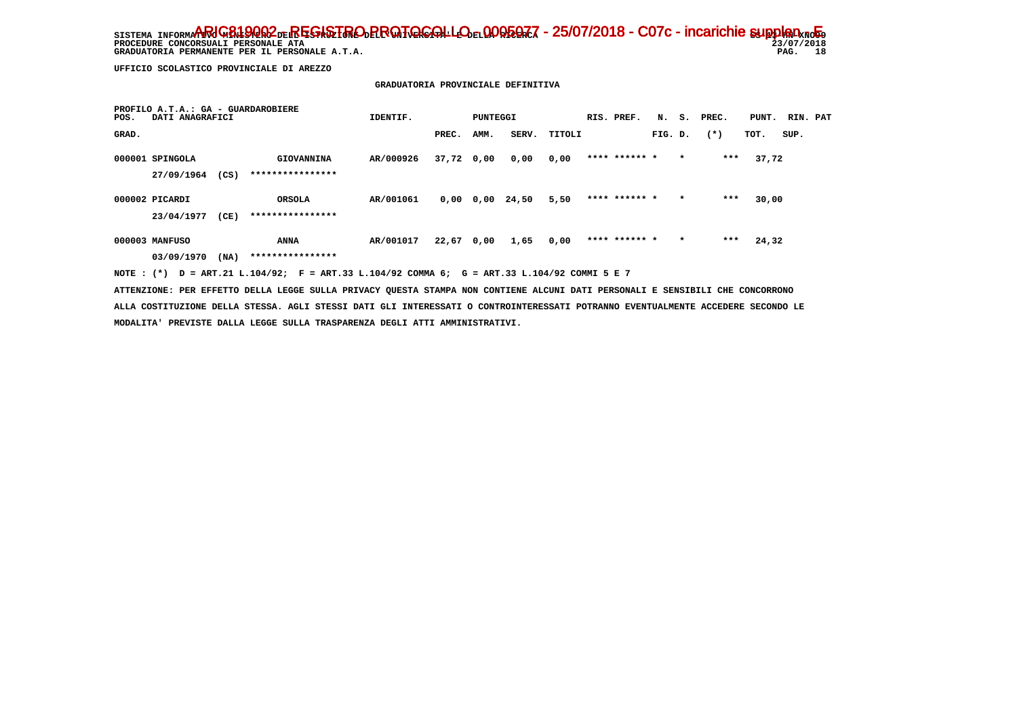PROCEDURE CONCORSUALI PERSONALE ATA  **GRADUATORIA PERMANENTE PER IL PERSONALE A.T.A.**   $23/07/2018$ PAG. 18

 **UFFICIO SCOLASTICO PROVINCIALE DI AREZZO**

#### **GRADUATORIA PROVINCIALE DEFINITIVA**

| POS.  | PROFILO A.T.A.: GA - GUARDAROBIERE<br>DATI ANAGRAFICI |      |                  | IDENTIF.<br>PUNTEGGI                                                                                            |              |             |       |        |  | RIS. PREF.    | N.      |         | S. PREC. | PUNT. | RIN. PAT |  |
|-------|-------------------------------------------------------|------|------------------|-----------------------------------------------------------------------------------------------------------------|--------------|-------------|-------|--------|--|---------------|---------|---------|----------|-------|----------|--|
| GRAD. |                                                       |      |                  |                                                                                                                 | PREC.        | AMM.        | SERV. | TITOLI |  |               | FIG. D. |         | $(*)$    | TOT.  | SUP.     |  |
|       | 000001 SPINGOLA                                       |      | GIOVANNINA       | AR/000926                                                                                                       | 37,72 0,00   |             | 0,00  | 0,00   |  | **** ****** * |         | $\star$ | ***      | 37,72 |          |  |
|       | 27/09/1964                                            | (CS) | **************** |                                                                                                                 |              |             |       |        |  |               |         |         |          |       |          |  |
|       | 000002 PICARDI                                        |      | <b>ORSOLA</b>    | AR/001061                                                                                                       |              | $0,00$ 0,00 | 24,50 | 5,50   |  | **** ****** * |         | $\star$ | ***      | 30,00 |          |  |
|       | 23/04/1977                                            | (CE) | **************** |                                                                                                                 |              |             |       |        |  |               |         |         |          |       |          |  |
|       | 000003 MANFUSO                                        |      | ANNA             | AR/001017                                                                                                       | $22,67$ 0,00 |             | 1,65  | 0,00   |  | **** ****** * |         | $\star$ | $***$    | 24,32 |          |  |
|       | 03/09/1970                                            | (NA) | **************** | the contract of the contract of the contract of the contract of the contract of the contract of the contract of |              |             |       |        |  |               |         |         |          |       |          |  |

 **NOTE : (\*) D = ART.21 L.104/92; F = ART.33 L.104/92 COMMA 6; G = ART.33 L.104/92 COMMI 5 E 7**